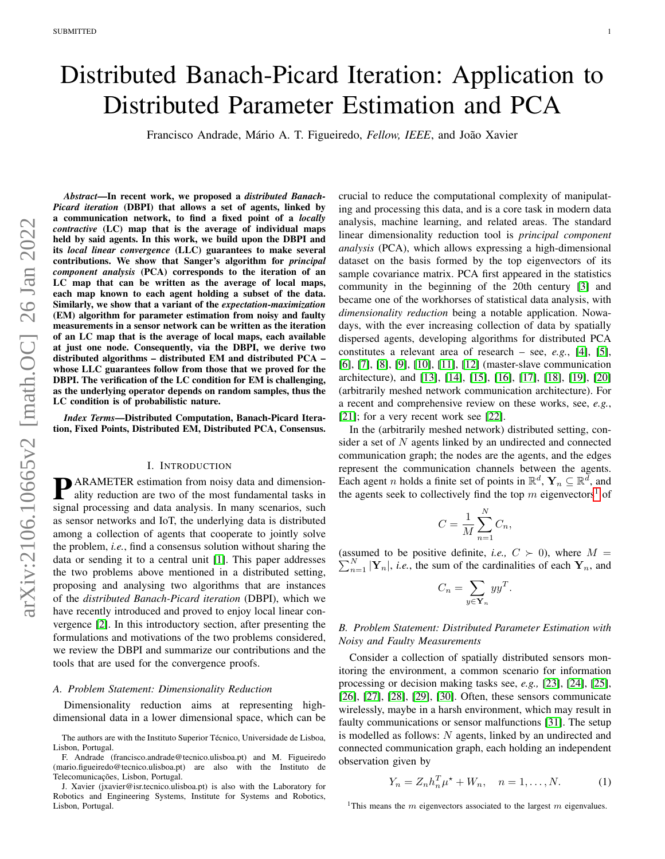# Distributed Banach-Picard Iteration: Application to Distributed Parameter Estimation and PCA

Francisco Andrade, Mário A. T. Figueiredo, *Fellow, IEEE*, and João Xavier

*Abstract*—In recent work, we proposed a *distributed Banach-Picard iteration* (DBPI) that allows a set of agents, linked by a communication network, to find a fixed point of a *locally contractive* (LC) map that is the average of individual maps held by said agents. In this work, we build upon the DBPI and its *local linear convergence* (LLC) guarantees to make several contributions. We show that Sanger's algorithm for *principal component analysis* (PCA) corresponds to the iteration of an LC map that can be written as the average of local maps, each map known to each agent holding a subset of the data. Similarly, we show that a variant of the *expectation-maximization* (EM) algorithm for parameter estimation from noisy and faulty measurements in a sensor network can be written as the iteration of an LC map that is the average of local maps, each available at just one node. Consequently, via the DBPI, we derive two distributed algorithms – distributed EM and distributed PCA – whose LLC guarantees follow from those that we proved for the DBPI. The verification of the LC condition for EM is challenging, as the underlying operator depends on random samples, thus the LC condition is of probabilistic nature.

*Index Terms*—Distributed Computation, Banach-Picard Iteration, Fixed Points, Distributed EM, Distributed PCA, Consensus.

#### I. INTRODUCTION

**P**ARAMETER estimation from noisy data and dimension-<br>ality reduction are two of the most fundamental tasks in ality reduction are two of the most fundamental tasks in signal processing and data analysis. In many scenarios, such as sensor networks and IoT, the underlying data is distributed among a collection of agents that cooperate to jointly solve the problem, *i.e.*, find a consensus solution without sharing the data or sending it to a central unit [\[1\]](#page-11-0). This paper addresses the two problems above mentioned in a distributed setting, proposing and analysing two algorithms that are instances of the *distributed Banach-Picard iteration* (DBPI), which we have recently introduced and proved to enjoy local linear convergence [\[2\]](#page-11-1). In this introductory section, after presenting the formulations and motivations of the two problems considered, we review the DBPI and summarize our contributions and the tools that are used for the convergence proofs.

#### <span id="page-0-2"></span>*A. Problem Statement: Dimensionality Reduction*

Dimensionality reduction aims at representing highdimensional data in a lower dimensional space, which can be

crucial to reduce the computational complexity of manipulating and processing this data, and is a core task in modern data analysis, machine learning, and related areas. The standard linear dimensionality reduction tool is *principal component analysis* (PCA), which allows expressing a high-dimensional dataset on the basis formed by the top eigenvectors of its sample covariance matrix. PCA first appeared in the statistics community in the beginning of the 20th century [\[3\]](#page-11-2) and became one of the workhorses of statistical data analysis, with *dimensionality reduction* being a notable application. Nowadays, with the ever increasing collection of data by spatially dispersed agents, developing algorithms for distributed PCA constitutes a relevant area of research – see, *e.g.*, [\[4\]](#page-11-3), [\[5\]](#page-11-4), [\[6\]](#page-11-5), [\[7\]](#page-11-6), [\[8\]](#page-11-7), [\[9\]](#page-11-8), [\[10\]](#page-11-9), [\[11\]](#page-11-10), [\[12\]](#page-11-11) (master-slave communication architecture), and [\[13\]](#page-11-12), [\[14\]](#page-11-13), [\[15\]](#page-11-14), [\[16\]](#page-11-15), [\[17\]](#page-11-16), [\[18\]](#page-11-17), [\[19\]](#page-11-18), [\[20\]](#page-11-19) (arbitrarily meshed network communication architecture). For a recent and comprehensive review on these works, see, *e.g.*, [\[21\]](#page-11-20); for a very recent work see [\[22\]](#page-11-21).

In the (arbitrarily meshed network) distributed setting, consider a set of N agents linked by an undirected and connected communication graph; the nodes are the agents, and the edges represent the communication channels between the agents. Each agent *n* holds a finite set of points in  $\mathbb{R}^d$ ,  $\mathbf{Y}_n \subseteq \mathbb{R}^{\overline{d}}$ , and the agents seek to collectively find the top  $m$  eigenvectors<sup>[1](#page-0-0)</sup> of

$$
C = \frac{1}{M} \sum_{n=1}^{N} C_n,
$$

(assumed to be positive definite, *i.e.*,  $C > 0$ ), where  $M =$  $\sum_{n=1}^{N} |\mathbf{Y}_n|$ , *i.e.*, the sum of the cardinalities of each  $\mathbf{Y}_n$ , and

$$
C_n = \sum_{y \in \mathbf{Y}_n} yy^T.
$$

## <span id="page-0-3"></span>*B. Problem Statement: Distributed Parameter Estimation with Noisy and Faulty Measurements*

Consider a collection of spatially distributed sensors monitoring the environment, a common scenario for information processing or decision making tasks see, *e.g.,* [\[23\]](#page-11-22), [\[24\]](#page-11-23), [\[25\]](#page-11-24), [\[26\]](#page-11-25), [\[27\]](#page-11-26), [\[28\]](#page-11-27), [\[29\]](#page-11-28), [\[30\]](#page-11-29). Often, these sensors communicate wirelessly, maybe in a harsh environment, which may result in faulty communications or sensor malfunctions [\[31\]](#page-11-30). The setup is modelled as follows: N agents, linked by an undirected and connected communication graph, each holding an independent observation given by

<span id="page-0-1"></span>
$$
Y_n = Z_n h_n^T \mu^* + W_n, \quad n = 1, ..., N.
$$
 (1)

<span id="page-0-0"></span><sup>1</sup>This means the  $m$  eigenvectors associated to the largest  $m$  eigenvalues.

The authors are with the Instituto Superior Técnico, Universidade de Lisboa, Lisbon, Portugal.

F. Andrade (francisco.andrade@tecnico.ulisboa.pt) and M. Figueiredo (mario.figueiredo@tecnico.ulisboa.pt) are also with the Instituto de Telecomunicações, Lisbon, Portugal.

J. Xavier (jxavier@isr.tecnico.ulisboa.pt) is also with the Laboratory for Robotics and Engineering Systems, Institute for Systems and Robotics, Lisbon, Portugal.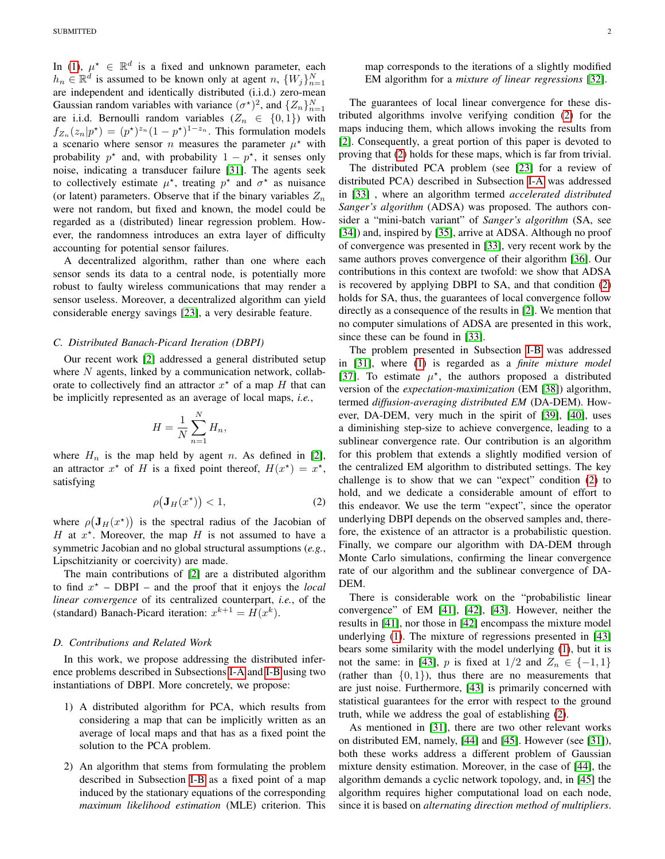In [\(1\)](#page-0-1),  $\mu^* \in \mathbb{R}^d$  is a fixed and unknown parameter, each  $h_n \in \mathbb{R}^d$  is assumed to be known only at agent  $n, \{W_j\}_{n=1}^N$ are independent and identically distributed (i.i.d.) zero-mean Gaussian random variables with variance  $(\sigma^*)^2$ , and  $\{Z_n\}_{n=1}^N$ are i.i.d. Bernoulli random variables  $(Z_n \in \{0,1\})$  with  $f_{Z_n}(z_n|p^*) = (p^*)^{z_n}(1-p^*)^{1-z_n}$ . This formulation models a scenario where sensor *n* measures the parameter  $\mu^*$  with probability  $p^*$  and, with probability  $1 - p^*$ , it senses only noise, indicating a transducer failure [\[31\]](#page-11-30). The agents seek to collectively estimate  $\mu^*$ , treating  $p^*$  and  $\sigma^*$  as nuisance (or latent) parameters. Observe that if the binary variables  $Z_n$ were not random, but fixed and known, the model could be regarded as a (distributed) linear regression problem. However, the randomness introduces an extra layer of difficulty accounting for potential sensor failures.

A decentralized algorithm, rather than one where each sensor sends its data to a central node, is potentially more robust to faulty wireless communications that may render a sensor useless. Moreover, a decentralized algorithm can yield considerable energy savings [\[23\]](#page-11-22), a very desirable feature.

#### *C. Distributed Banach-Picard Iteration (DBPI)*

Our recent work [\[2\]](#page-11-1) addressed a general distributed setup where  $N$  agents, linked by a communication network, collaborate to collectively find an attractor  $x^*$  of a map H that can be implicitly represented as an average of local maps, *i.e.*,

$$
H = \frac{1}{N} \sum_{n=1}^{N} H_n,
$$

where  $H_n$  is the map held by agent n. As defined in [\[2\]](#page-11-1), an attractor  $x^*$  of H is a fixed point thereof,  $H(x^*) = x^*$ , satisfying

$$
\rho(\mathbf{J}_H(x^\star)) < 1,\tag{2}
$$

where  $\rho(\mathbf{J}_H(x^*))$  is the spectral radius of the Jacobian of H at  $x^*$ . Moreover, the map H is not assumed to have a symmetric Jacobian and no global structural assumptions (*e.g.*, Lipschitzianity or coercivity) are made.

The main contributions of [\[2\]](#page-11-1) are a distributed algorithm to find  $x^*$  – DBPI – and the proof that it enjoys the *local linear convergence* of its centralized counterpart, *i.e.*, of the (standard) Banach-Picard iteration:  $x^{k+1} = H(x^k)$ .

## *D. Contributions and Related Work*

In this work, we propose addressing the distributed inference problems described in Subsections [I-A](#page-0-2) and [I-B](#page-0-3) using two instantiations of DBPI. More concretely, we propose:

- 1) A distributed algorithm for PCA, which results from considering a map that can be implicitly written as an average of local maps and that has as a fixed point the solution to the PCA problem.
- 2) An algorithm that stems from formulating the problem described in Subsection [I-B](#page-0-3) as a fixed point of a map induced by the stationary equations of the corresponding *maximum likelihood estimation* (MLE) criterion. This

map corresponds to the iterations of a slightly modified EM algorithm for a *mixture of linear regressions* [\[32\]](#page-11-31).

The guarantees of local linear convergence for these distributed algorithms involve verifying condition [\(2\)](#page-1-0) for the maps inducing them, which allows invoking the results from [\[2\]](#page-11-1). Consequently, a great portion of this paper is devoted to proving that [\(2\)](#page-1-0) holds for these maps, which is far from trivial.

The distributed PCA problem (see [\[23\]](#page-11-22) for a review of distributed PCA) described in Subsection [I-A](#page-0-2) was addressed in [\[33\]](#page-11-32) , where an algorithm termed *accelerated distributed Sanger's algorithm* (ADSA) was proposed. The authors consider a "mini-batch variant" of *Sanger's algorithm* (SA, see [\[34\]](#page-12-0)) and, inspired by [\[35\]](#page-12-1), arrive at ADSA. Although no proof of convergence was presented in [\[33\]](#page-11-32), very recent work by the same authors proves convergence of their algorithm [\[36\]](#page-12-2). Our contributions in this context are twofold: we show that ADSA is recovered by applying DBPI to SA, and that condition [\(2\)](#page-1-0) holds for SA, thus, the guarantees of local convergence follow directly as a consequence of the results in [\[2\]](#page-11-1). We mention that no computer simulations of ADSA are presented in this work, since these can be found in [\[33\]](#page-11-32).

The problem presented in Subsection [I-B](#page-0-3) was addressed in [\[31\]](#page-11-30), where [\(1\)](#page-0-1) is regarded as a *finite mixture model* [\[37\]](#page-12-3). To estimate  $\mu^*$ , the authors proposed a distributed version of the *expectation-maximization* (EM [\[38\]](#page-12-4)) algorithm, termed *diffusion-averaging distributed EM* (DA-DEM). However, DA-DEM, very much in the spirit of [\[39\]](#page-12-5), [\[40\]](#page-12-6), uses a diminishing step-size to achieve convergence, leading to a sublinear convergence rate. Our contribution is an algorithm for this problem that extends a slightly modified version of the centralized EM algorithm to distributed settings. The key challenge is to show that we can "expect" condition [\(2\)](#page-1-0) to hold, and we dedicate a considerable amount of effort to this endeavor. We use the term "expect", since the operator underlying DBPI depends on the observed samples and, therefore, the existence of an attractor is a probabilistic question. Finally, we compare our algorithm with DA-DEM through Monte Carlo simulations, confirming the linear convergence rate of our algorithm and the sublinear convergence of DA-DEM.

<span id="page-1-0"></span>There is considerable work on the "probabilistic linear convergence" of EM [\[41\]](#page-12-7), [\[42\]](#page-12-8), [\[43\]](#page-12-9). However, neither the results in [\[41\]](#page-12-7), nor those in [\[42\]](#page-12-8) encompass the mixture model underlying [\(1\)](#page-0-1). The mixture of regressions presented in [\[43\]](#page-12-9) bears some similarity with the model underlying [\(1\)](#page-0-1), but it is not the same: in [\[43\]](#page-12-9), p is fixed at  $1/2$  and  $Z_n \in \{-1,1\}$ (rather than  $\{0, 1\}$ ), thus there are no measurements that are just noise. Furthermore, [\[43\]](#page-12-9) is primarily concerned with statistical guarantees for the error with respect to the ground truth, while we address the goal of establishing [\(2\)](#page-1-0).

As mentioned in [\[31\]](#page-11-30), there are two other relevant works on distributed EM, namely, [\[44\]](#page-12-10) and [\[45\]](#page-12-11). However (see [\[31\]](#page-11-30)), both these works address a different problem of Gaussian mixture density estimation. Moreover, in the case of [\[44\]](#page-12-10), the algorithm demands a cyclic network topology, and, in [\[45\]](#page-12-11) the algorithm requires higher computational load on each node, since it is based on *alternating direction method of multipliers*.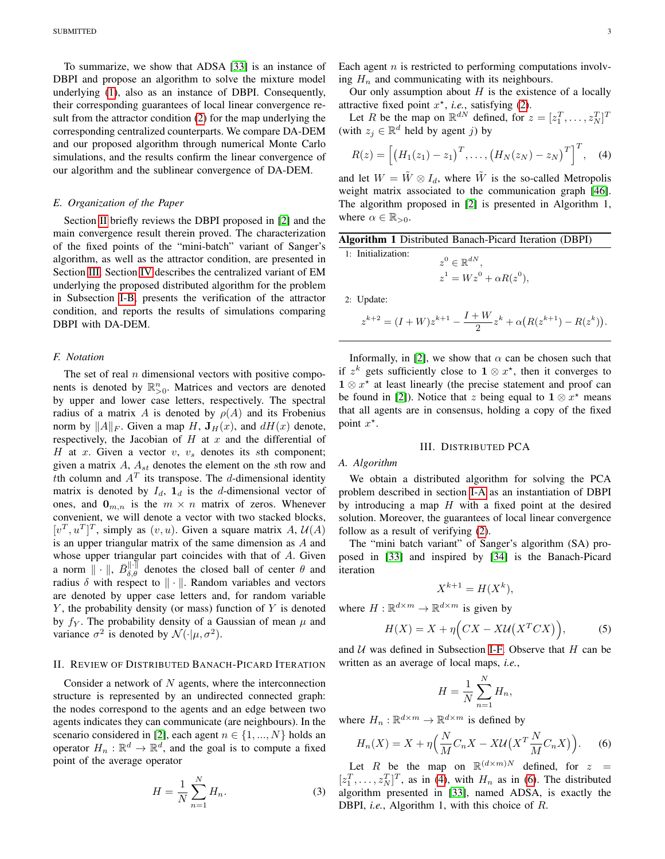To summarize, we show that ADSA [\[33\]](#page-11-32) is an instance of DBPI and propose an algorithm to solve the mixture model underlying [\(1\)](#page-0-1), also as an instance of DBPI. Consequently, their corresponding guarantees of local linear convergence result from the attractor condition [\(2\)](#page-1-0) for the map underlying the corresponding centralized counterparts. We compare DA-DEM and our proposed algorithm through numerical Monte Carlo simulations, and the results confirm the linear convergence of our algorithm and the sublinear convergence of DA-DEM.

## *E. Organization of the Paper*

Section [II](#page-2-0) briefly reviews the DBPI proposed in [\[2\]](#page-11-1) and the main convergence result therein proved. The characterization of the fixed points of the "mini-batch" variant of Sanger's algorithm, as well as the attractor condition, are presented in Section [III.](#page-2-1) Section [IV](#page-4-0) describes the centralized variant of EM underlying the proposed distributed algorithm for the problem in Subsection [I-B,](#page-0-3) presents the verification of the attractor condition, and reports the results of simulations comparing DBPI with DA-DEM.

## <span id="page-2-2"></span>*F. Notation*

The set of real  $n$  dimensional vectors with positive components is denoted by  $\mathbb{R}_{>0}^n$ . Matrices and vectors are denoted by upper and lower case letters, respectively. The spectral radius of a matrix A is denoted by  $\rho(A)$  and its Frobenius norm by  $||A||_F$ . Given a map H,  $J_H(x)$ , and  $dH(x)$  denote, respectively, the Jacobian of  $H$  at  $x$  and the differential of H at x. Given a vector  $v, v_s$  denotes its sth component; given a matrix  $A$ ,  $A_{st}$  denotes the element on the sth row and tth column and  $A<sup>T</sup>$  its transpose. The d-dimensional identity matrix is denoted by  $I_d$ ,  $\mathbf{1}_d$  is the d-dimensional vector of ones, and  $\mathbf{0}_{m,n}$  is the  $m \times n$  matrix of zeros. Whenever convenient, we will denote a vector with two stacked blocks,  $[v^T, u^T]^T$ , simply as  $(v, u)$ . Given a square matrix A,  $\mathcal{U}(A)$ is an upper triangular matrix of the same dimension as A and whose upper triangular part coincides with that of A. Given a norm  $\|\cdot\|$ ,  $\bar{B}_{\delta,\theta}^{\|\cdot\|}$  denotes the closed ball of center  $\theta$  and radius  $\delta$  with respect to  $\|\cdot\|$ . Random variables and vectors are denoted by upper case letters and, for random variable  $Y$ , the probability density (or mass) function of  $Y$  is denoted by  $f_Y$ . The probability density of a Gaussian of mean  $\mu$  and variance  $\sigma^2$  is denoted by  $\mathcal{N}(\cdot|\mu, \sigma^2)$ .

## <span id="page-2-0"></span>II. REVIEW OF DISTRIBUTED BANACH-PICARD ITERATION

Consider a network of  $N$  agents, where the interconnection structure is represented by an undirected connected graph: the nodes correspond to the agents and an edge between two agents indicates they can communicate (are neighbours). In the scenario considered in [\[2\]](#page-11-1), each agent  $n \in \{1, ..., N\}$  holds an operator  $H_n : \mathbb{R}^d \to \mathbb{R}^d$ , and the goal is to compute a fixed point of the average operator

$$
H = \frac{1}{N} \sum_{n=1}^{N} H_n.
$$
 (3)

Each agent  $n$  is restricted to performing computations involving  $H_n$  and communicating with its neighbours.

Our only assumption about  $H$  is the existence of a locally attractive fixed point  $x^*$ , *i.e.*, satisfying [\(2\)](#page-1-0).

Let R be the map on  $\mathbb{R}^{dN}$  defined, for  $z = [z_1^T, \dots, z_N^T]^T$ (with  $z_j \in \mathbb{R}^d$  held by agent j) by

<span id="page-2-3"></span>
$$
R(z) = \left[ \left( H_1(z_1) - z_1 \right)^T, \dots, \left( H_N(z_N) - z_N \right)^T \right]^T, \quad (4)
$$

and let  $W = \tilde{W} \otimes I_d$ , where  $\tilde{W}$  is the so-called Metropolis weight matrix associated to the communication graph [\[46\]](#page-12-12). The algorithm proposed in [\[2\]](#page-11-1) is presented in Algorithm 1, where  $\alpha \in \mathbb{R}_{>0}$ .

| Algorithm 1 Distributed Banach-Picard Iteration (DBPI) |  |  |  |
|--------------------------------------------------------|--|--|--|
|--------------------------------------------------------|--|--|--|

1: Initialization:  $z^0 \in \mathbb{R}^{dN},$  $z^1 = Wz^0 + \alpha R(z^0),$ 

2: Update:

$$
z^{k+2} = (I+W)z^{k+1} - \frac{I+W}{2}z^{k} + \alpha(R(z^{k+1}) - R(z^{k})).
$$

Informally, in [\[2\]](#page-11-1), we show that  $\alpha$  can be chosen such that if  $z^k$  gets sufficiently close to  $1 \otimes x^*$ , then it converges to  $1 \otimes x^*$  at least linearly (the precise statement and proof can be found in [\[2\]](#page-11-1)). Notice that z being equal to  $1 \otimes x^*$  means that all agents are in consensus, holding a copy of the fixed point  $x^*$ .

## III. DISTRIBUTED PCA

# <span id="page-2-1"></span>*A. Algorithm*

We obtain a distributed algorithm for solving the PCA problem described in section [I-A](#page-0-2) as an instantiation of DBPI by introducing a map  $H$  with a fixed point at the desired solution. Moreover, the guarantees of local linear convergence follow as a result of verifying [\(2\)](#page-1-0).

The "mini batch variant" of Sanger's algorithm (SA) proposed in [\[33\]](#page-11-32) and inspired by [\[34\]](#page-12-0) is the Banach-Picard iteration

<span id="page-2-5"></span>
$$
X^{k+1} = H(X^k),
$$

where  $H: \mathbb{R}^{d \times m} \to \mathbb{R}^{d \times m}$  is given by

$$
H(X) = X + \eta \Big( CX - XU(X^T C X) \Big), \tag{5}
$$

and  $U$  was defined in Subsection [I-F.](#page-2-2) Observe that  $H$  can be written as an average of local maps, *i.e.*,

<span id="page-2-4"></span>
$$
H = \frac{1}{N} \sum_{n=1}^{N} H_n,
$$

where  $H_n : \mathbb{R}^{d \times m} \to \mathbb{R}^{d \times m}$  is defined by

$$
H_n(X) = X + \eta \Big( \frac{N}{M} C_n X - X \mathcal{U} \big( X^T \frac{N}{M} C_n X \big) \Big). \tag{6}
$$

Let R be the map on  $\mathbb{R}^{(d \times m)N}$  defined, for  $z =$  $[z_1^T, \ldots, z_N^T]^T$ , as in [\(4\)](#page-2-3), with  $H_n$  as in [\(6\)](#page-2-4). The distributed algorithm presented in [\[33\]](#page-11-32), named ADSA, is exactly the DBPI, *i.e.*, Algorithm 1, with this choice of R.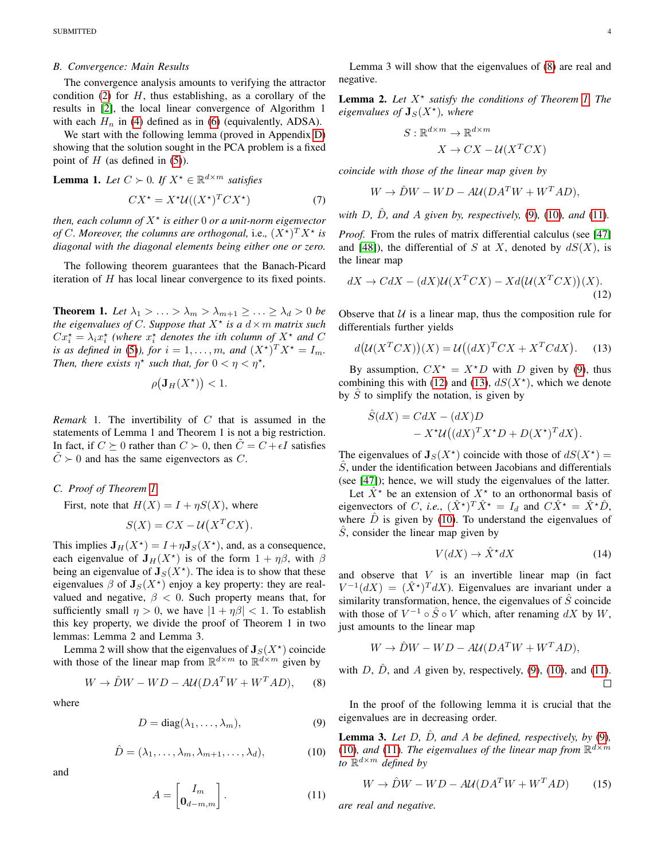## *B. Convergence: Main Results*

The convergence analysis amounts to verifying the attractor condition [\(2\)](#page-1-0) for  $H$ , thus establishing, as a corollary of the results in [\[2\]](#page-11-1), the local linear convergence of Algorithm 1 with each  $H_n$  in [\(4\)](#page-2-3) defined as in [\(6\)](#page-2-4) (equivalently, ADSA).

We start with the following lemma (proved in Appendix [D\)](#page-10-0) showing that the solution sought in the PCA problem is a fixed point of  $H$  (as defined in [\(5\)](#page-2-5)).

<span id="page-3-8"></span>**Lemma 1.** Let  $C \succ 0$ . If  $X^* \in \mathbb{R}^{d \times m}$  satisfies

$$
CX^* = X^* \mathcal{U}((X^*)^T C X^*)\tag{7}
$$

*then, each column of* X? *is either* 0 *or a unit-norm eigenvector of* C. Moreover, the columns are orthogonal, i.e.,  $(X^{\star})^T X^{\star}$  is *diagonal with the diagonal elements being either one or zero.*

The following theorem guarantees that the Banach-Picard iteration of  $H$  has local linear convergence to its fixed points.

<span id="page-3-0"></span>**Theorem 1.** Let  $\lambda_1 > \ldots > \lambda_m > \lambda_{m+1} \geq \ldots \geq \lambda_d > 0$  be *the eigenvalues of C. Suppose that*  $X^*$  *is a*  $d \times m$  *matrix such*  $Cx_i^* = \lambda_i x_i^*$  (where  $x_i^*$  denotes the *i*th column of  $X^*$  and C *is as defined in* [\(5\)](#page-2-5)), *for*  $i = 1, ..., m$ *, and*  $(X^*)^T X^* = I_m$ *. Then, there exists*  $\eta^*$  *such that, for*  $0 < \eta < \eta^*$ *,* 

$$
\rho(\mathbf{J}_H(X^{\star})) < 1.
$$

*Remark* 1*.* The invertibility of C that is assumed in the statements of Lemma 1 and Theorem 1 is not a big restriction. In fact, if  $C \succeq 0$  rather than  $C \succ 0$ , then  $\tilde{C} = C + \epsilon I$  satisfies  $\tilde{C} \succ 0$  and has the same eigenvectors as C.

## *C. Proof of Theorem [1](#page-3-0)*

First, note that  $H(X) = I + \eta S(X)$ , where

$$
S(X) = CX - \mathcal{U}(X^T C X).
$$

This implies  $J_H(X^*) = I + \eta J_S(X^*)$ , and, as a consequence, each eigenvalue of  $J_H(X^*)$  is of the form  $1 + \eta\beta$ , with  $\beta$ being an eigenvalue of  $J_S(X^*)$ . The idea is to show that these eigenvalues  $\beta$  of  $J_S(X^*)$  enjoy a key property: they are realvalued and negative,  $\beta$  < 0. Such property means that, for sufficiently small  $\eta > 0$ , we have  $|1 + \eta \beta| < 1$ . To establish this key property, we divide the proof of Theorem 1 in two lemmas: Lemma 2 and Lemma 3.

Lemma 2 will show that the eigenvalues of  $J_S(X^{\star})$  coincide with those of the linear map from  $\mathbb{R}^{d \times m}$  to  $\mathbb{R}^{d \times m}$  given by

$$
W \to \hat{D}W - WD - A\mathcal{U}(DA^T W + W^T A D), \quad (8)
$$

where

$$
D = \text{diag}(\lambda_1, \dots, \lambda_m), \tag{9}
$$

$$
\hat{D} = (\lambda_1, \dots, \lambda_m, \lambda_{m+1}, \dots, \lambda_d), \tag{10}
$$

and

$$
A = \begin{bmatrix} I_m \\ \mathbf{0}_{d-m,m} \end{bmatrix} . \tag{11}
$$

Lemma 3 will show that the eigenvalues of [\(8\)](#page-3-1) are real and negative.

**Lemma 2.** Let  $X^*$  satisfy the conditions of Theorem [1.](#page-3-0) The  $eigenvalues of  $J_S(X^*)$ , where$ 

<span id="page-3-5"></span>
$$
\colon \mathbb{R}^{d \times m} \to \mathbb{R}^{d \times m}
$$

$$
X \to CX - U(X^T C X)
$$

<span id="page-3-9"></span>*coincide with those of the linear map given by*

 $\overline{S}$ 

$$
W \to \hat{D}W - WD - A\mathcal{U}(DA^T W + W^T A D),
$$

*with*  $D$ *,*  $\hat{D}$ *<i>, and*  $\hat{A}$  *given by, respectively,* [\(9\)](#page-3-2)*,* (10*), and* (11*).* 

*Proof.* From the rules of matrix differential calculus (see [\[47\]](#page-12-13) and [\[48\]](#page-12-14)), the differential of S at X, denoted by  $dS(X)$ , is the linear map

$$
dX \to CdX - (dX)\mathcal{U}(X^T C X) - Xd\big(\mathcal{U}(X^T C X)\big)(X).
$$
\n(12)

Observe that  $U$  is a linear map, thus the composition rule for differentials further yields

$$
d\big(\mathcal{U}(X^T C X)\big)(X) = \mathcal{U}\big((dX)^T C X + X^T C dX\big). \tag{13}
$$

By assumption,  $CX^* = X^*D$  with D given by [\(9\)](#page-3-2), thus combining this with [\(12\)](#page-3-5) and [\(13\)](#page-3-6),  $dS(X^*)$ , which we denote by  $\hat{S}$  to simplify the notation, is given by

<span id="page-3-6"></span>
$$
\hat{S}(dX) = CdX - (dX)D \n- X^{\star}U((dX)^{T}X^{\star}D + D(X^{\star})^{T}dX).
$$

The eigenvalues of  $J_S(X^*)$  coincide with those of  $dS(X^*) =$  $\hat{S}$ , under the identification between Jacobians and differentials (see [\[47\]](#page-12-13)); hence, we will study the eigenvalues of the latter.

Let  $\hat{X}^*$  be an extension of  $X^*$  to an orthonormal basis of eigenvectors of C, *i.e.*,  $(\hat{X}^*)^T \hat{X}^* = I_d$  and  $C \hat{X}^* = \hat{X}^* \hat{D}$ , where  $\hat{D}$  is given by [\(10\)](#page-3-3). To understand the eigenvalues of  $\hat{S}$ , consider the linear map given by

$$
V(dX) \to \hat{X}^* dX \tag{14}
$$

and observe that  $V$  is an invertible linear map (in fact  $V^{-1}(dX) = (\hat{X}^*)^T dX$ . Eigenvalues are invariant under a similarity transformation, hence, the eigenvalues of  $\hat{S}$  coincide with those of  $V^{-1} \circ \hat{S} \circ V$  which, after renaming dX by W, just amounts to the linear map

$$
W \to \hat{D}W - WD - A\mathcal{U}(DA^T W + W^T A D),
$$

<span id="page-3-1"></span>with D,  $\hat{D}$ , and A given by, respectively, [\(9\)](#page-3-2), [\(10\)](#page-3-3), and [\(11\)](#page-3-4).  $\Box$ 

<span id="page-3-2"></span>In the proof of the following lemma it is crucial that the eigenvalues are in decreasing order.

<span id="page-3-3"></span>**Lemma 3.** Let  $D$ ,  $\hat{D}$ , and  $\hat{A}$  be defined, respectively, by [\(9\)](#page-3-2), [\(10\)](#page-3-3), and [\(11\)](#page-3-4). The eigenvalues of the linear map from  $\mathbb{R}^{d \times m}$ *to* R <sup>d</sup>×<sup>m</sup> *defined by*

<span id="page-3-7"></span>
$$
W \to \hat{D}W - WD - A\mathcal{U}(DA^T W + W^T A D) \tag{15}
$$

<span id="page-3-4"></span>*are real and negative.*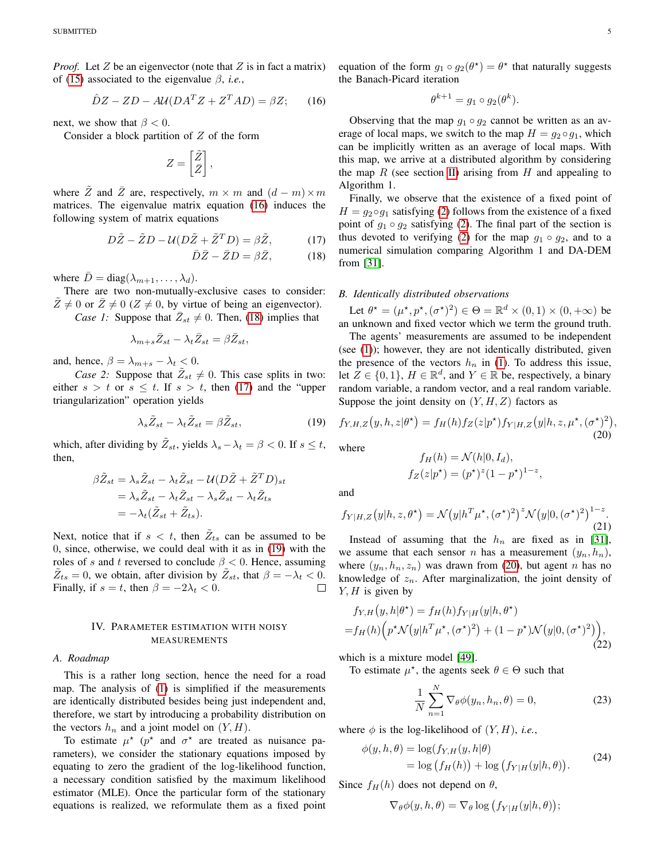*Proof.* Let  $Z$  be an eigenvector (note that  $Z$  is in fact a matrix) of [\(15\)](#page-3-7) associated to the eigenvalue  $\beta$ , *i.e.*,

$$
\hat{D}Z - ZD - A\mathcal{U}(DA^T Z + Z^T AD) = \beta Z; \qquad (16)
$$

next, we show that  $\beta < 0$ .

Consider a block partition of  $Z$  of the form

$$
Z = \begin{bmatrix} \tilde{Z} \\ \bar{Z} \end{bmatrix},
$$

where  $\tilde{Z}$  and  $\bar{Z}$  are, respectively,  $m \times m$  and  $(d - m) \times m$ matrices. The eigenvalue matrix equation [\(16\)](#page-4-1) induces the following system of matrix equations

$$
D\tilde{Z} - \tilde{Z}D - \mathcal{U}(D\tilde{Z} + \tilde{Z}^T D) = \beta \tilde{Z}, \tag{17}
$$

$$
\bar{D}\bar{Z} - \bar{Z}D = \beta \bar{Z}, \qquad (18)
$$

where  $\overline{D} = \text{diag}(\lambda_{m+1}, \dots, \lambda_d)$ .

There are two non-mutually-exclusive cases to consider:  $\tilde{Z} \neq 0$  or  $\bar{Z} \neq 0$  ( $Z \neq 0$ , by virtue of being an eigenvector).

*Case 1:* Suppose that  $\overline{Z}_{st} \neq 0$ . Then, [\(18\)](#page-4-2) implies that

$$
\lambda_{m+s}\bar{Z}_{st} - \lambda_t\bar{Z}_{st} = \beta \bar{Z}_{st},
$$

and, hence,  $\beta = \lambda_{m+s} - \lambda_t < 0$ .

*Case 2:* Suppose that  $\tilde{Z}_{st} \neq 0$ . This case splits in two: either  $s > t$  or  $s \leq t$ . If  $s > t$ , then [\(17\)](#page-4-3) and the "upper triangularization" operation yields

$$
\lambda_s \tilde{Z}_{st} - \lambda_t \tilde{Z}_{st} = \beta \tilde{Z}_{st},\tag{19}
$$

which, after dividing by  $\tilde{Z}_{st}$ , yields  $\lambda_s - \lambda_t = \beta < 0$ . If  $s \leq t$ , then,

$$
\beta \tilde{Z}_{st} = \lambda_s \tilde{Z}_{st} - \lambda_t \tilde{Z}_{st} - \mathcal{U} (D\tilde{Z} + \tilde{Z}^T D)_{st}
$$
  
=  $\lambda_s \tilde{Z}_{st} - \lambda_t \tilde{Z}_{st} - \lambda_s \tilde{Z}_{st} - \lambda_t \tilde{Z}_{ts}$   
=  $-\lambda_t (\tilde{Z}_{st} + \tilde{Z}_{ts}).$ 

Next, notice that if  $s < t$ , then  $\tilde{Z}_{ts}$  can be assumed to be 0, since, otherwise, we could deal with it as in [\(19\)](#page-4-4) with the roles of s and t reversed to conclude  $\beta < 0$ . Hence, assuming  $\tilde{Z}_{ts} = 0$ , we obtain, after division by  $\tilde{Z}_{st}$ , that  $\beta = -\lambda_t < 0$ . Finally, if  $s = t$ , then  $\beta = -2\lambda_t < 0$ .  $\Box$ 

## IV. PARAMETER ESTIMATION WITH NOISY MEASUREMENTS

#### <span id="page-4-0"></span>*A. Roadmap*

This is a rather long section, hence the need for a road map. The analysis of [\(1\)](#page-0-1) is simplified if the measurements are identically distributed besides being just independent and, therefore, we start by introducing a probability distribution on the vectors  $h_n$  and a joint model on  $(Y, H)$ .

To estimate  $\mu^*$  ( $p^*$  and  $\sigma^*$  are treated as nuisance parameters), we consider the stationary equations imposed by equating to zero the gradient of the log-likelihood function, a necessary condition satisfied by the maximum likelihood estimator (MLE). Once the particular form of the stationary equations is realized, we reformulate them as a fixed point

<span id="page-4-1"></span>equation of the form  $g_1 \circ g_2(\theta^*) = \theta^*$  that naturally suggests the Banach-Picard iteration

$$
\theta^{k+1} = g_1 \circ g_2(\theta^k).
$$

Observing that the map  $g_1 \circ g_2$  cannot be written as an average of local maps, we switch to the map  $H = q_2 \circ q_1$ , which can be implicitly written as an average of local maps. With this map, we arrive at a distributed algorithm by considering the map  $R$  (see section [II\)](#page-2-0) arising from  $H$  and appealing to Algorithm 1.

<span id="page-4-3"></span>Finally, we observe that the existence of a fixed point of  $H = g_2 \circ g_1$  satisfying [\(2\)](#page-1-0) follows from the existence of a fixed point of  $g_1 \circ g_2$  satisfying [\(2\)](#page-1-0). The final part of the section is thus devoted to verifying [\(2\)](#page-1-0) for the map  $g_1 \circ g_2$ , and to a numerical simulation comparing Algorithm 1 and DA-DEM from [\[31\]](#page-11-30).

#### <span id="page-4-2"></span>*B. Identically distributed observations*

Let  $\theta^* = (\mu^*, p^*, (\sigma^*)^2) \in \Theta = \mathbb{R}^d \times (0, 1) \times (0, +\infty)$  be an unknown and fixed vector which we term the ground truth.

The agents' measurements are assumed to be independent (see [\(1\)](#page-0-1)); however, they are not identically distributed, given the presence of the vectors  $h_n$  in [\(1\)](#page-0-1). To address this issue, let  $Z \in \{0, 1\}$ ,  $H \in \mathbb{R}^d$ , and  $Y \in \mathbb{R}$  be, respectively, a binary random variable, a random vector, and a real random variable. Suppose the joint density on  $(Y, H, Z)$  factors as

<span id="page-4-5"></span><span id="page-4-4"></span>
$$
f_{Y,H,Z}(y,h,z|\theta^*) = f_H(h)f_Z(z|p^*)f_{Y|H,Z}(y|h,z,\mu^*,(\sigma^*)^2),
$$
\n(20)

where

$$
f_H(h) = \mathcal{N}(h|0, I_d),
$$
  
\n
$$
f_Z(z|p^*) = (p^*)^z (1 - p^*)^{1-z},
$$

and

$$
f_{Y|H,Z}(y|h,z,\theta^{\star}) = \mathcal{N}(y|h^T\mu^{\star},(\sigma^{\star})^2)^z \mathcal{N}(y|0,(\sigma^{\star})^2)^{1-z}.
$$
\n(21)

Instead of assuming that the  $h_n$  are fixed as in [\[31\]](#page-11-30), we assume that each sensor n has a measurement  $(y_n, h_n)$ , where  $(y_n, h_n, z_n)$  was drawn from [\(20\)](#page-4-5), but agent n has no knowledge of  $z_n$ . After marginalization, the joint density of  $Y, H$  is given by

<span id="page-4-7"></span>
$$
f_{Y,H}(y,h|\theta^*) = f_H(h)f_{Y|H}(y|h,\theta^*)
$$
  
=  $f_H(h)\Big(p^*\mathcal{N}\big(y|h^T\mu^*,(\sigma^*)^2\big) + (1-p^*)\mathcal{N}\big(y|0,(\sigma^*)^2\big)\Big),$  (22)

which is a mixture model [\[49\]](#page-12-15).

To estimate  $\mu^*$ , the agents seek  $\theta \in \Theta$  such that

<span id="page-4-6"></span>
$$
\frac{1}{N} \sum_{n=1}^{N} \nabla_{\theta} \phi(y_n, h_n, \theta) = 0,
$$
\n(23)

where  $\phi$  is the log-likelihood of  $(Y, H)$ , *i.e.*,

$$
\begin{aligned} \phi(y, h, \theta) &= \log(f_{Y, H}(y, h|\theta)) \\ &= \log\left(f_H(h)\right) + \log\left(f_{Y|H}(y|h, \theta)\right). \end{aligned} \tag{24}
$$

Since  $f_H(h)$  does not depend on  $\theta$ ,

$$
\nabla_{\theta} \phi(y, h, \theta) = \nabla_{\theta} \log (f_{Y|H}(y|h, \theta));
$$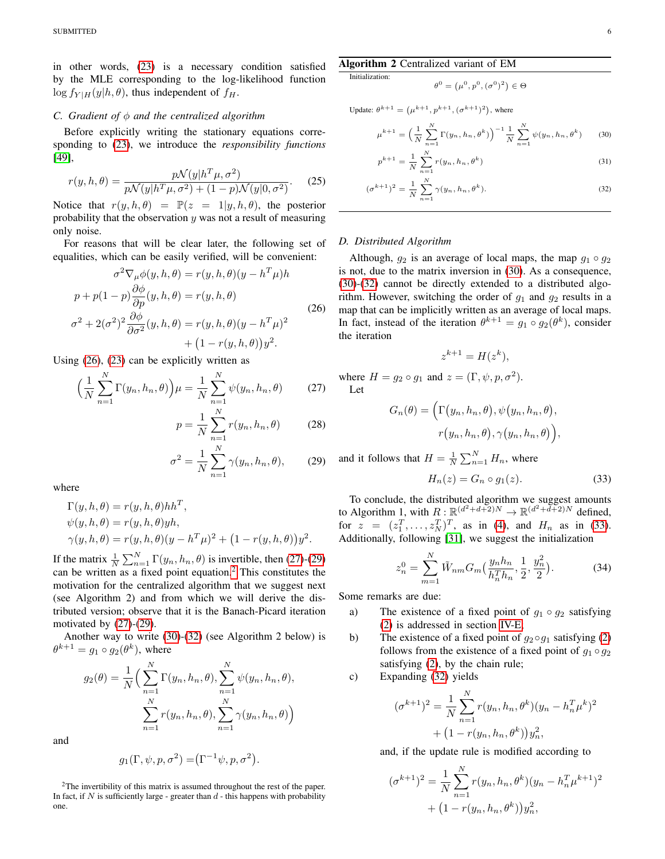in other words, [\(23\)](#page-4-6) is a necessary condition satisfied by the MLE corresponding to the log-likelihood function  $\log f_{Y|H}(y|h, \theta)$ , thus independent of  $f_H$ .

#### *C. Gradient of* φ *and the centralized algorithm*

Before explicitly writing the stationary equations corresponding to [\(23\)](#page-4-6), we introduce the *responsibility functions* [\[49\]](#page-12-15),

$$
r(y, h, \theta) = \frac{p\mathcal{N}(y|h^T\mu, \sigma^2)}{p\mathcal{N}(y|h^T\mu, \sigma^2) + (1 - p)\mathcal{N}(y|0, \sigma^2)}.
$$
 (25)

Notice that  $r(y, h, \theta) = \mathbb{P}(z = 1 | y, h, \theta)$ , the posterior probability that the observation  $y$  was not a result of measuring only noise.

For reasons that will be clear later, the following set of equalities, which can be easily verified, will be convenient:

<span id="page-5-0"></span>
$$
\sigma^2 \nabla_{\mu} \phi(y, h, \theta) = r(y, h, \theta)(y - h^T \mu)h
$$
  
\n
$$
p + p(1 - p) \frac{\partial \phi}{\partial p}(y, h, \theta) = r(y, h, \theta)
$$
  
\n
$$
\sigma^2 + 2(\sigma^2)^2 \frac{\partial \phi}{\partial \sigma^2}(y, h, \theta) = r(y, h, \theta)(y - h^T \mu)^2
$$
  
\n
$$
+ (1 - r(y, h, \theta))y^2.
$$
\n(26)

Using [\(26\)](#page-5-0), [\(23\)](#page-4-6) can be explicitly written as

$$
\left(\frac{1}{N}\sum_{n=1}^{N}\Gamma(y_n, h_n, \theta)\right)\mu = \frac{1}{N}\sum_{n=1}^{N}\psi(y_n, h_n, \theta)
$$
(27)

$$
p = \frac{1}{N} \sum_{n=1}^{N} r(y_n, h_n, \theta)
$$
 (28)

$$
\sigma^2 = \frac{1}{N} \sum_{n=1}^{N} \gamma(y_n, h_n, \theta), \qquad (29)
$$

where

$$
\Gamma(y, h, \theta) = r(y, h, \theta) h h^T,
$$
  
\n
$$
\psi(y, h, \theta) = r(y, h, \theta) y h,
$$
  
\n
$$
\gamma(y, h, \theta) = r(y, h, \theta) (y - h^T \mu)^2 + (1 - r(y, h, \theta)) y^2.
$$

If the matrix  $\frac{1}{N} \sum_{n=1}^{N} \Gamma(y_n, h_n, \theta)$  is invertible, then [\(27\)](#page-5-1)-[\(29\)](#page-5-2) can be written as a fixed point equation.[2](#page-5-3) This constitutes the motivation for the centralized algorithm that we suggest next (see Algorithm 2) and from which we will derive the distributed version; observe that it is the Banach-Picard iteration motivated by [\(27\)](#page-5-1)-[\(29\)](#page-5-2).

Another way to write [\(30\)](#page-5-4)-[\(32\)](#page-5-5) (see Algorithm 2 below) is  $\theta^{k+1} = g_1 \circ g_2(\theta^k)$ , where

$$
g_2(\theta) = \frac{1}{N} \Big( \sum_{n=1}^N \Gamma(y_n, h_n, \theta), \sum_{n=1}^N \psi(y_n, h_n, \theta),
$$

$$
\sum_{n=1}^N r(y_n, h_n, \theta), \sum_{n=1}^N \gamma(y_n, h_n, \theta) \Big)
$$

and

$$
g_1(\Gamma, \psi, p, \sigma^2) = (\Gamma^{-1} \psi, p, \sigma^2).
$$

<span id="page-5-3"></span><sup>2</sup>The invertibility of this matrix is assumed throughout the rest of the paper. In fact, if  $N$  is sufficiently large - greater than  $d$  - this happens with probability one.

# Algorithm 2 Centralized variant of EM

Initialization:

<span id="page-5-4"></span>
$$
\theta^0 = (\mu^0, p^0, (\sigma^0)^2) \in \Theta
$$

Update: 
$$
\theta^{k+1} = (\mu^{k+1}, p^{k+1}, (\sigma^{k+1})^2)
$$
, where

$$
\mu^{k+1} = \left(\frac{1}{N} \sum_{n=1}^{N} \Gamma(y_n, h_n, \theta^k)\right)^{-1} \frac{1}{N} \sum_{n=1}^{N} \psi(y_n, h_n, \theta^k)
$$
(30)

<span id="page-5-5"></span>
$$
p^{k+1} = \frac{1}{N} \sum_{n=1}^{N} r(y_n, h_n, \theta^k)
$$
\n(31)

$$
(\sigma^{k+1})^2 = \frac{1}{N} \sum_{n=1}^{N} \gamma(y_n, h_n, \theta^k).
$$
 (32)

# *D. Distributed Algorithm*

Although,  $q_2$  is an average of local maps, the map  $q_1 \circ q_2$ is not, due to the matrix inversion in [\(30\)](#page-5-4). As a consequence, [\(30\)](#page-5-4)-[\(32\)](#page-5-5) cannot be directly extended to a distributed algorithm. However, switching the order of  $q_1$  and  $q_2$  results in a map that can be implicitly written as an average of local maps. In fact, instead of the iteration  $\theta^{k+1} = g_1 \circ g_2(\theta^k)$ , consider the iteration

$$
z^{k+1} = H(z^k),
$$

<span id="page-5-1"></span>where  $H = g_2 \circ g_1$  and  $z = (\Gamma, \psi, p, \sigma^2)$ . Let

$$
G_n(\theta) = \Big(\Gamma(y_n, h_n, \theta), \psi(y_n, h_n, \theta),\r(y_n, h_n, \theta), \gamma(y_n, h_n, \theta)\Big),
$$

<span id="page-5-2"></span>and it follows that  $H = \frac{1}{N} \sum_{n=1}^{N} H_n$ , where

<span id="page-5-7"></span><span id="page-5-6"></span>
$$
H_n(z) = G_n \circ g_1(z). \tag{33}
$$

To conclude, the distributed algorithm we suggest amounts to Algorithm 1, with  $R : \mathbb{R}^{(d^2+d+2)N} \to \mathbb{R}^{(d^2+d+2)N}$  defined, for  $z = (z_1^T, \dots, z_N^T)^T$ , as in [\(4\)](#page-2-3), and  $H_n$  as in [\(33\)](#page-5-6). Additionally, following [\[31\]](#page-11-30), we suggest the initialization

$$
z_n^0 = \sum_{m=1}^N \tilde{W}_{nm} G_m\left(\frac{y_n h_n}{h_n^T h_n}, \frac{1}{2}, \frac{y_n^2}{2}\right).
$$
 (34)

Some remarks are due:

- a) The existence of a fixed point of  $q_1 \circ q_2$  satisfying [\(2\)](#page-1-0) is addressed in section [IV-E;](#page-6-0)
- b) The existence of a fixed point of  $q_2 \circ q_1$  satisfying [\(2\)](#page-1-0) follows from the existence of a fixed point of  $g_1 \circ g_2$ satisfying [\(2\)](#page-1-0), by the chain rule;
- c) Expanding [\(32\)](#page-5-5) yields

$$
(\sigma^{k+1})^2 = \frac{1}{N} \sum_{n=1}^N r(y_n, h_n, \theta^k)(y_n - h_n^T \mu^k)^2
$$

$$
+ (1 - r(y_n, h_n, \theta^k))y_n^2,
$$

and, if the update rule is modified according to

$$
(\sigma^{k+1})^2 = \frac{1}{N} \sum_{n=1}^N r(y_n, h_n, \theta^k)(y_n - h_n^T \mu^{k+1})^2
$$

$$
+ (1 - r(y_n, h_n, \theta^k))y_n^2,
$$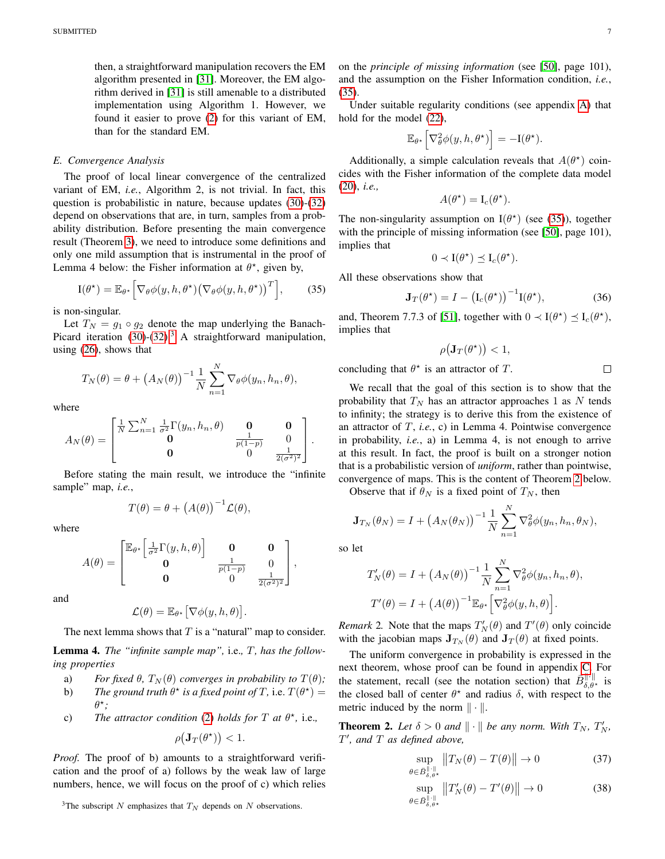then, a straightforward manipulation recovers the EM algorithm presented in [\[31\]](#page-11-30). Moreover, the EM algorithm derived in [\[31\]](#page-11-30) is still amenable to a distributed implementation using Algorithm 1. However, we found it easier to prove [\(2\)](#page-1-0) for this variant of EM, than for the standard EM.

## <span id="page-6-0"></span>*E. Convergence Analysis*

The proof of local linear convergence of the centralized variant of EM, *i.e.*, Algorithm 2, is not trivial. In fact, this question is probabilistic in nature, because updates [\(30\)](#page-5-4)-[\(32\)](#page-5-5) depend on observations that are, in turn, samples from a probability distribution. Before presenting the main convergence result (Theorem [3\)](#page-7-0), we need to introduce some definitions and only one mild assumption that is instrumental in the proof of Lemma 4 below: the Fisher information at  $\theta^*$ , given by,

$$
I(\theta^{\star}) = \mathbb{E}_{\theta^{\star}} \Big[ \nabla_{\theta} \phi(y, h, \theta^{\star}) \big( \nabla_{\theta} \phi(y, h, \theta^{\star}) \big)^{T} \Big], \qquad (35)
$$

is non-singular.

Let  $T_N = g_1 \circ g_2$  denote the map underlying the Banach-Picard iteration  $(30)-(32)$  $(30)-(32)$  $(30)-(32)$ .<sup>[3](#page-6-1)</sup> A straightforward manipulation, using [\(26\)](#page-5-0), shows that

$$
T_N(\theta) = \theta + (A_N(\theta))^{-1} \frac{1}{N} \sum_{n=1}^N \nabla_{\theta} \phi(y_n, h_n, \theta),
$$

where

$$
A_N(\theta) = \begin{bmatrix} \frac{1}{N} \sum_{n=1}^N \frac{1}{\sigma^2} \Gamma(y_n, h_n, \theta) & \mathbf{0} & \mathbf{0} \\ \mathbf{0} & \frac{1}{p(1-p)} & 0 \\ \mathbf{0} & 0 & \frac{1}{2(\sigma^2)^2} \end{bmatrix}.
$$

Before stating the main result, we introduce the "infinite sample" map, *i.e.*,

$$
T(\theta) = \theta + (A(\theta))^{-1} \mathcal{L}(\theta),
$$

where

$$
A(\theta) = \begin{bmatrix} \mathbb{E}_{\theta^{\star}} \left[ \frac{1}{\sigma^2} \Gamma(y, h, \theta) \right] & \mathbf{0} & \mathbf{0} \\ \mathbf{0} & \frac{1}{p(1-p)} & 0 \\ \mathbf{0} & 0 & \frac{1}{2(\sigma^2)^2} \end{bmatrix},
$$

and

$$
\mathcal{L}(\theta) = \mathbb{E}_{\theta^{\star}} \big[ \nabla \phi(y, h, \theta) \big].
$$

The next lemma shows that  $T$  is a "natural" map to consider.

Lemma 4. *The "infinite sample map",* i.e.*,* T*, has the following properties*

- a) *For fixed*  $\theta$ *,*  $T_N(\theta)$  *converges in probability to*  $T(\theta)$ *;*
- b) *The ground truth*  $\theta^*$  *is a fixed point of* T, i.e.  $T(\theta^*)$  = θ ? *;*
- c) The attractor condition [\(2\)](#page-1-0) holds for  $T$  at  $\theta^*$ , i.e.,

$$
\rho(\mathbf{J}_T(\theta^\star)) < 1.
$$

*Proof.* The proof of b) amounts to a straightforward verification and the proof of a) follows by the weak law of large numbers, hence, we will focus on the proof of c) which relies

<span id="page-6-1"></span><sup>3</sup>The subscript N emphasizes that  $T_N$  depends on N observations.

on the *principle of missing information* (see [\[50\]](#page-12-16), page 101), and the assumption on the Fisher Information condition, *i.e.*, [\(35\)](#page-6-2).

Under suitable regularity conditions (see appendix [A\)](#page-9-0) that hold for the model [\(22\)](#page-4-7),

$$
\mathbb{E}_{\theta^{\star}}\Big[\nabla_{\theta}^{2}\phi(y,h,\theta^{\star})\Big] = -\mathbf{I}(\theta^{\star}).
$$

Additionally, a simple calculation reveals that  $A(\theta^*)$  coincides with the Fisher information of the complete data model [\(20\)](#page-4-5), *i.e.,*

$$
A(\theta^*) = \mathcal{I}_c(\theta^*).
$$

The non-singularity assumption on  $I(\theta^*)$  (see [\(35\)](#page-6-2)), together with the principle of missing information (see [\[50\]](#page-12-16), page 101), implies that

$$
0 \prec \mathbf{I}(\theta^{\star}) \preceq \mathbf{I}_c(\theta^{\star}).
$$

<span id="page-6-2"></span>All these observations show that

$$
\mathbf{J}_T(\theta^\star) = I - \left(\mathbf{I}_c(\theta^\star)\right)^{-1} \mathbf{I}(\theta^\star),\tag{36}
$$

and, Theorem 7.7.3 of [\[51\]](#page-12-17), together with  $0 \prec I(\theta^*) \preceq I_c(\theta^*)$ , implies that

$$
\rho(\mathbf{J}_T(\theta^\star)) < 1,
$$

concluding that  $\theta^*$  is an attractor of T.

 $\Box$ 

We recall that the goal of this section is to show that the probability that  $T_N$  has an attractor approaches 1 as N tends to infinity; the strategy is to derive this from the existence of an attractor of T, *i.e.*, c) in Lemma 4. Pointwise convergence in probability, *i.e.*, a) in Lemma 4, is not enough to arrive at this result. In fact, the proof is built on a stronger notion that is a probabilistic version of *uniform*, rather than pointwise, convergence of maps. This is the content of Theorem [2](#page-6-3) below.

Observe that if  $\theta_N$  is a fixed point of  $T_N$ , then

$$
\mathbf{J}_{T_N}(\theta_N) = I + \left(A_N(\theta_N)\right)^{-1} \frac{1}{N} \sum_{n=1}^N \nabla_{\theta}^2 \phi(y_n, h_n, \theta_N),
$$

so let

$$
T'_{N}(\theta) = I + (A_{N}(\theta))^{-1} \frac{1}{N} \sum_{n=1}^{N} \nabla_{\theta}^{2} \phi(y_{n}, h_{n}, \theta),
$$

$$
T'(\theta) = I + (A(\theta))^{-1} \mathbb{E}_{\theta^{*}} \left[ \nabla_{\theta}^{2} \phi(y, h, \theta) \right].
$$

*Remark* 2. Note that the maps  $T_N'(\theta)$  and  $T'(\theta)$  only coincide with the jacobian maps  $\mathbf{J}_{T_N}(\theta)$  and  $\mathbf{J}_T(\theta)$  at fixed points.

The uniform convergence in probability is expressed in the next theorem, whose proof can be found in appendix [C.](#page-10-1) For the statement, recall (see the notation section) that  $\bar{B}_{\delta,\theta^*}^{\|\cdot\|}$  is the closed ball of center  $\theta^*$  and radius  $\delta$ , with respect to the metric induced by the norm  $\|\cdot\|$ .

<span id="page-6-3"></span>**Theorem 2.** Let  $\delta > 0$  and  $\|\cdot\|$  be any norm. With  $T_N$ ,  $T'_N$ , T 0 *, and* T *as defined above,*

<span id="page-6-5"></span>
$$
\sup_{\theta \in \bar{B}_{\delta,\theta^*}^{\|\cdot\|}} \|T_N(\theta) - T(\theta)\| \to 0 \tag{37}
$$

<span id="page-6-4"></span>
$$
\sup_{\theta \in \bar{B}_{\delta,\theta^*}^{|\cdot|}} \|T'_N(\theta) - T'(\theta)\| \to 0 \tag{38}
$$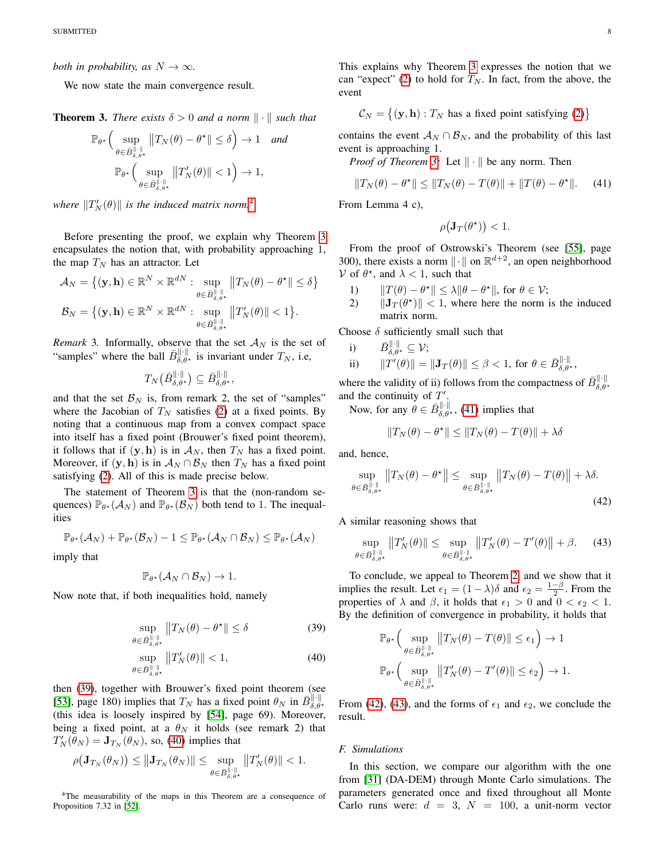*both in probability, as*  $N \to \infty$ *.* 

We now state the main convergence result.

<span id="page-7-0"></span>**Theorem 3.** *There exists*  $\delta > 0$  *and a norm*  $\|\cdot\|$  *such that* 

$$
\mathbb{P}_{\theta^{\star}}\left(\sup_{\theta \in \bar{B}_{\delta,\theta^{\star}}^{\|\cdot\|}} \|T_N(\theta) - \theta^{\star}\| \le \delta\right) \to 1 \quad \text{and}
$$

$$
\mathbb{P}_{\theta^{\star}}\left(\sup_{\theta \in \bar{B}_{\delta,\theta^{\star}}^{\|\cdot\|}} \|T_N'(\theta)\| < 1\right) \to 1,
$$

where  $\|T_N^{\prime}(\theta)\|$  is the induced matrix norm.<sup>[4](#page-7-1)</sup>

Before presenting the proof, we explain why Theorem [3](#page-7-0) encapsulates the notion that, with probability approaching 1, the map  $T_N$  has an attractor. Let

$$
\mathcal{A}_N = \{ (\mathbf{y}, \mathbf{h}) \in \mathbb{R}^N \times \mathbb{R}^{dN} : \sup_{\theta \in \bar{B}_{\delta, \theta^{\star}}^{\|\cdot\|}} \|T_N(\theta) - \theta^{\star}\| \le \delta \}
$$
  

$$
\mathcal{B}_N = \{ (\mathbf{y}, \mathbf{h}) \in \mathbb{R}^N \times \mathbb{R}^{dN} : \sup_{\theta \in \bar{B}_{\delta, \theta^{\star}}^{\|\cdot\|}} \|T_N'(\theta)\| < 1 \}.
$$

*Remark* 3. Informally, observe that the set  $A_N$  is the set of "samples" where the ball  $\bar{B}_{\delta,\theta^{\star}}^{\|\cdot\|}$  is invariant under  $T_N$ , i.e,

$$
T_N\big(B_{\delta,\theta^{\star}}^{\|\cdot\|}\big) \subseteq \bar{B}_{\delta,\theta^{\star}}^{\|\cdot\|},
$$

and that the set  $\mathcal{B}_N$  is, from remark 2, the set of "samples" where the Jacobian of  $T_N$  satisfies [\(2\)](#page-1-0) at a fixed points. By noting that a continuous map from a convex compact space into itself has a fixed point (Brouwer's fixed point theorem), it follows that if  $(y, h)$  is in  $\mathcal{A}_N$ , then  $T_N$  has a fixed point. Moreover, if  $(\mathbf{y}, \mathbf{h})$  is in  $\mathcal{A}_N \cap \mathcal{B}_N$  then  $T_N$  has a fixed point satisfying [\(2\)](#page-1-0). All of this is made precise below.

The statement of Theorem [3](#page-7-0) is that the (non-random sequences)  $\mathbb{P}_{\theta^*}(\mathcal{A}_N)$  and  $\mathbb{P}_{\theta^*}(\mathcal{B}_N)$  both tend to 1. The inequalities

$$
\mathbb{P}_{\theta^{\star}}(\mathcal{A}_N) + \mathbb{P}_{\theta^{\star}}(\mathcal{B}_N) - 1 \leq \mathbb{P}_{\theta^{\star}}(\mathcal{A}_N \cap \mathcal{B}_N) \leq \mathbb{P}_{\theta^{\star}}(\mathcal{A}_N)
$$

imply that

$$
\mathbb{P}_{\theta^*}(\mathcal{A}_N \cap \mathcal{B}_N) \to 1.
$$

Now note that, if both inequalities hold, namely

$$
\sup_{\theta \in \bar{B}_{\delta,\theta^*}^{\|\cdot\|}} \|T_N(\theta) - \theta^*\| \le \delta \tag{39}
$$

$$
\sup_{\theta \in \bar{B}^{\|\cdot\|}_{\delta,\theta^{\star}}} \|T_N'(\theta)\| < 1,\tag{40}
$$

then [\(39\)](#page-7-2), together with Brouwer's fixed point theorem (see [\[53\]](#page-12-18), page 180) implies that  $T_N$  has a fixed point  $\theta_N$  in  $\bar{B}_{\delta,\theta*}^{\|\cdot\|}$ (this idea is loosely inspired by [\[54\]](#page-12-19), page 69). Moreover, being a fixed point, at a  $\theta_N$  it holds (see remark 2) that  $T_N'(\theta_N) = \mathbf{J}_{T_N}(\theta_N)$ , so, [\(40\)](#page-7-3) implies that

$$
\rho(\mathbf{J}_{T_N}(\theta_N)) \leq \|\mathbf{J}_{T_N}(\theta_N)\| \leq \sup_{\theta \in \bar{B}_{\delta,\theta^{\star}}^{\|\cdot\|}} \|T_N'(\theta)\| < 1.
$$

<span id="page-7-1"></span><sup>4</sup>The measurability of the maps in this Theorem are a consequence of Proposition 7.32 in [\[52\]](#page-12-20).

This explains why Theorem [3](#page-7-0) expresses the notion that we can "expect" [\(2\)](#page-1-0) to hold for  $T_N$ . In fact, from the above, the event

$$
C_N = \{ (\mathbf{y}, \mathbf{h}) : T_N \text{ has a fixed point satisfying (2)} \}
$$

contains the event  $A_N \cap B_N$ , and the probability of this last event is approaching 1.

*Proof of Theorem [3:](#page-7-0)* Let  $\|\cdot\|$  be any norm. Then

$$
||T_N(\theta) - \theta^*|| \le ||T_N(\theta) - T(\theta)|| + ||T(\theta) - \theta^*||. \tag{41}
$$

From Lemma 4 c),

<span id="page-7-4"></span>
$$
\rho(\mathbf{J}_T(\theta^\star)) < 1.
$$

From the proof of Ostrowski's Theorem (see [\[55\]](#page-12-21), page 300), there exists a norm  $\|\cdot\|$  on  $\mathbb{R}^{d+2}$ , an open neighborhood V of  $\theta^*$ , and  $\lambda < 1$ , such that

- 1)  $||T(\theta) \theta^*|| \le \lambda ||\theta \theta^*||$ , for  $\theta \in \mathcal{V}$ ;
- 2)  $\|\mathbf{J}_T(\theta^*)\| < 1$ , where here the norm is the induced matrix norm.

Choose  $\delta$  sufficiently small such that

i) 
$$
\bar{B}_{\delta,\theta^*}^{\|\cdot\|} \subseteq \mathcal{V};
$$
  
ii)  $\|T'(\theta)\| = \|\mathbf{J}_T(\theta)\| \le \beta < 1$ , for  $\theta \in \bar{B}_{\delta,\theta^*}^{\|\cdot\|}$ ,

where the validity of ii) follows from the compactness of  $\bar{B}^{\|\cdot\|}_{\delta,\theta^*}$ and the continuity of  $T'$ .

Now, for any  $\theta \in \bar{B}^{\|\cdot\|}_{\delta, \theta^*}$ , [\(41\)](#page-7-4) implies that

<span id="page-7-6"></span><span id="page-7-5"></span>
$$
||T_N(\theta) - \theta^*|| \le ||T_N(\theta) - T(\theta)|| + \lambda \delta
$$

and, hence,

$$
\sup_{\theta \in \bar{B}_{\delta,\theta^*}^{\|\cdot\|}} \|T_N(\theta) - \theta^\star\| \le \sup_{\theta \in \bar{B}_{\delta,\theta^*}^{\|\cdot\|}} \|T_N(\theta) - T(\theta)\| + \lambda \delta. \tag{42}
$$

A similar reasoning shows that

$$
\sup_{\theta \in \bar{B}_{\delta,\theta^*}^{\|\cdot\|}} \|T_N'(\theta)\| \le \sup_{\theta \in \bar{B}_{\delta,\theta^*}^{\|\cdot\|}} \|T_N'(\theta) - T'(\theta)\| + \beta. \tag{43}
$$

<span id="page-7-2"></span>To conclude, we appeal to Theorem [2,](#page-6-3) and we show that it implies the result. Let  $\epsilon_1 = (1 - \lambda)\delta$  and  $\epsilon_2 = \frac{1 - \beta}{2}$ . From the properties of  $\lambda$  and  $\beta$ , it holds that  $\epsilon_1 > 0$  and  $0 < \epsilon_2 < 1$ . By the definition of convergence in probability, it holds that

$$
\mathbb{P}_{\theta^{\star}}\left(\sup_{\theta \in \bar{B}_{\delta,\theta^{\star}}^{\|\cdot\|}} \|T_N(\theta) - T(\theta)\| \le \epsilon_1\right) \to 1
$$
  

$$
\mathbb{P}_{\theta^{\star}}\left(\sup_{\theta \in \bar{B}_{\delta,\theta^{\star}}^{\|\cdot\|}} \|T_N'(\theta) - T'(\theta)\| \le \epsilon_2\right) \to 1.
$$

<span id="page-7-3"></span>From [\(42\)](#page-7-5), [\(43\)](#page-7-6), and the forms of  $\epsilon_1$  and  $\epsilon_2$ , we conclude the result.

#### *F. Simulations*

In this section, we compare our algorithm with the one from [\[31\]](#page-11-30) (DA-DEM) through Monte Carlo simulations. The parameters generated once and fixed throughout all Monte Carlo runs were:  $d = 3$ ,  $N = 100$ , a unit-norm vector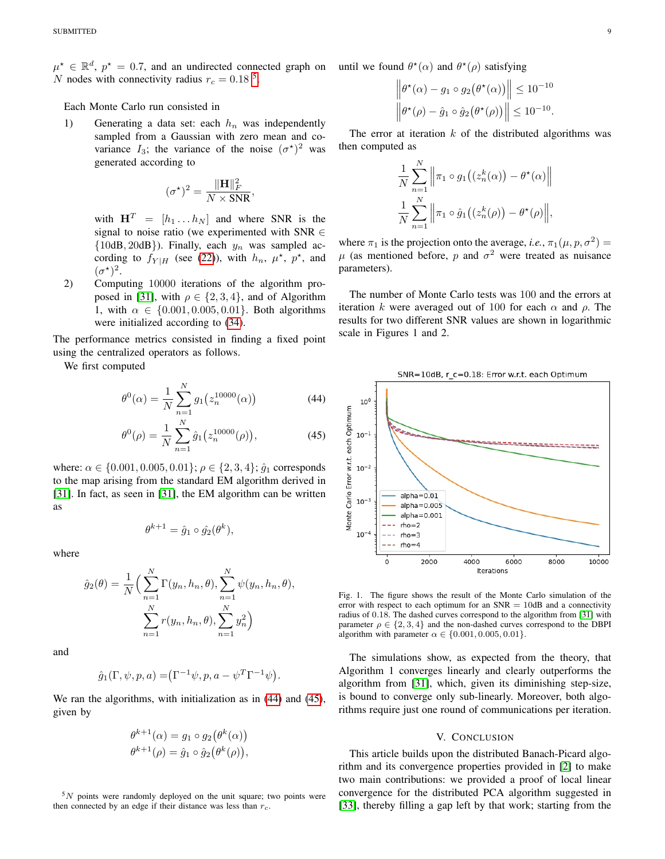$\mu^* \in \mathbb{R}^d$ ,  $p^* = 0.7$ , and an undirected connected graph on N nodes with connectivity radius  $r_c = 0.18$ <sup>[5](#page-8-0)</sup>.

Each Monte Carlo run consisted in

1) Generating a data set: each  $h_n$  was independently sampled from a Gaussian with zero mean and covariance  $I_3$ ; the variance of the noise  $(\sigma^{\star})^2$  was generated according to

$$
(\sigma^{\star})^2 = \frac{\|\mathbf{H}\|_F^2}{N \times \text{SNR}},
$$

with  $\mathbf{H}^T = [h_1 \dots h_N]$  and where SNR is the signal to noise ratio (we experimented with SNR ∈  $\{10dB, 20dB\}$ ). Finally, each  $y_n$  was sampled according to  $f_{Y|H}$  (see [\(22\)](#page-4-7)), with  $h_n$ ,  $\mu^*$ ,  $p^*$ , and  $(\sigma^{\star})^2$ .

2) Computing 10000 iterations of the algorithm pro-posed in [\[31\]](#page-11-30), with  $\rho \in \{2, 3, 4\}$ , and of Algorithm 1, with  $\alpha \in \{0.001, 0.005, 0.01\}$ . Both algorithms were initialized according to [\(34\)](#page-5-7).

The performance metrics consisted in finding a fixed point using the centralized operators as follows.

We first computed

$$
\theta^{0}(\alpha) = \frac{1}{N} \sum_{n=1}^{N} g_{1}(z_{n}^{10000}(\alpha))
$$
\n(44)

$$
\theta^{0}(\rho) = \frac{1}{N} \sum_{n=1}^{N} \hat{g}_{1}(z_{n}^{10000}(\rho)), \qquad (45)
$$

where:  $\alpha \in \{0.001, 0.005, 0.01\}$ ;  $\rho \in \{2, 3, 4\}$ ;  $\hat{q}_1$  corresponds to the map arising from the standard EM algorithm derived in [\[31\]](#page-11-30). In fact, as seen in [\[31\]](#page-11-30), the EM algorithm can be written as

$$
\theta^{k+1} = \hat{g}_1 \circ \hat{g}_2(\theta^k),
$$

where

$$
\hat{g}_2(\theta) = \frac{1}{N} \Big( \sum_{n=1}^N \Gamma(y_n, h_n, \theta), \sum_{n=1}^N \psi(y_n, h_n, \theta), \sum_{n=1}^N r(y_n, h_n, \theta), \sum_{n=1}^N y_n^2 \Big)
$$

and

$$
\hat{g}_1(\Gamma, \psi, p, a) = (\Gamma^{-1} \psi, p, a - \psi^T \Gamma^{-1} \psi).
$$

We ran the algorithms, with initialization as in [\(44\)](#page-8-1) and [\(45\)](#page-8-2), given by

$$
\theta^{k+1}(\alpha) = g_1 \circ g_2(\theta^k(\alpha))
$$
  

$$
\theta^{k+1}(\rho) = \hat{g}_1 \circ \hat{g}_2(\theta^k(\rho)),
$$

<span id="page-8-0"></span> $5N$  points were randomly deployed on the unit square; two points were then connected by an edge if their distance was less than  $r_c$ .

until we found  $\theta^*(\alpha)$  and  $\theta^*(\rho)$  satisfying

$$
\|\theta^{\star}(\alpha) - g_1 \circ g_2(\theta^{\star}(\alpha))\| \le 10^{-10}
$$
  

$$
\|\theta^{\star}(\rho) - \hat{g}_1 \circ \hat{g}_2(\theta^{\star}(\rho))\| \le 10^{-10}.
$$

The error at iteration  $k$  of the distributed algorithms was then computed as

$$
\frac{1}{N} \sum_{n=1}^{N} \left\| \pi_1 \circ g_1((z_n^k(\alpha)) - \theta^*(\alpha)) \right\|
$$
  

$$
\frac{1}{N} \sum_{n=1}^{N} \left\| \pi_1 \circ \hat{g}_1((z_n^k(\rho)) - \theta^*(\rho)) \right\|,
$$

where  $\pi_1$  is the projection onto the average, *i.e.*,  $\pi_1(\mu, p, \sigma^2)$  =  $\mu$  (as mentioned before, p and  $\sigma^2$  were treated as nuisance parameters).

The number of Monte Carlo tests was 100 and the errors at iteration k were averaged out of 100 for each  $\alpha$  and  $\rho$ . The results for two different SNR values are shown in logarithmic scale in Figures 1 and 2.



<span id="page-8-2"></span><span id="page-8-1"></span>

Fig. 1. The figure shows the result of the Monte Carlo simulation of the error with respect to each optimum for an  $SNR = 10dB$  and a connectivity radius of 0.18. The dashed curves correspond to the algorithm from [\[31\]](#page-11-30) with parameter  $\rho \in \{2, 3, 4\}$  and the non-dashed curves correspond to the DBPI algorithm with parameter  $\alpha \in \{0.001, 0.005, 0.01\}.$ 

The simulations show, as expected from the theory, that Algorithm 1 converges linearly and clearly outperforms the algorithm from [\[31\]](#page-11-30), which, given its diminishing step-size, is bound to converge only sub-linearly. Moreover, both algorithms require just one round of communications per iteration.

#### V. CONCLUSION

This article builds upon the distributed Banach-Picard algorithm and its convergence properties provided in [\[2\]](#page-11-1) to make two main contributions: we provided a proof of local linear convergence for the distributed PCA algorithm suggested in [\[33\]](#page-11-32), thereby filling a gap left by that work; starting from the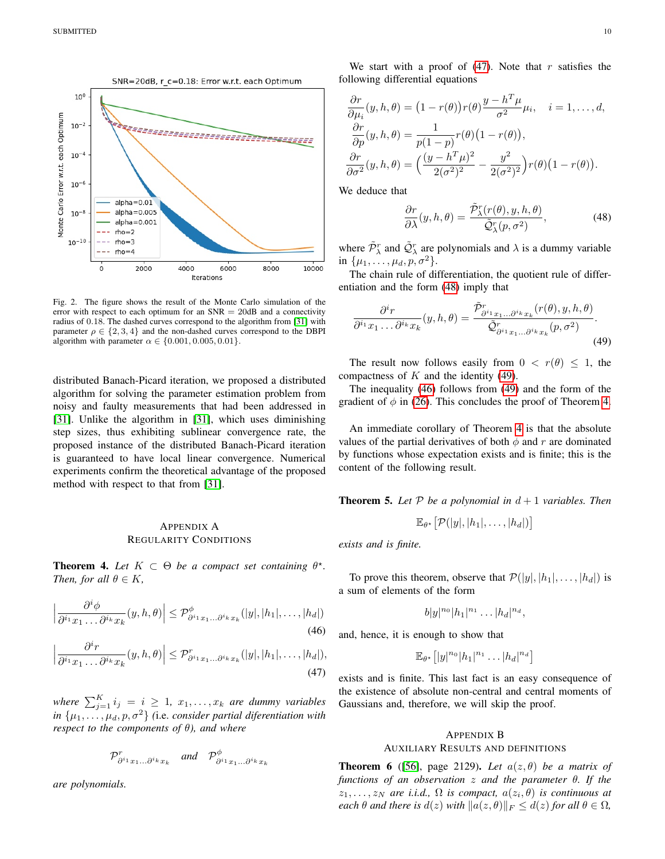

Fig. 2. The figure shows the result of the Monte Carlo simulation of the error with respect to each optimum for an  $SNR = 20dB$  and a connectivity radius of 0.18. The dashed curves correspond to the algorithm from [\[31\]](#page-11-30) with parameter  $\rho \in \{2, 3, 4\}$  and the non-dashed curves correspond to the DBPI algorithm with parameter  $\alpha \in \{0.001, 0.005, 0.01\}.$ 

distributed Banach-Picard iteration, we proposed a distributed algorithm for solving the parameter estimation problem from noisy and faulty measurements that had been addressed in [\[31\]](#page-11-30). Unlike the algorithm in [\[31\]](#page-11-30), which uses diminishing step sizes, thus exhibiting sublinear convergence rate, the proposed instance of the distributed Banach-Picard iteration is guaranteed to have local linear convergence. Numerical experiments confirm the theoretical advantage of the proposed method with respect to that from [\[31\]](#page-11-30).

## <span id="page-9-0"></span>APPENDIX A REGULARITY CONDITIONS

<span id="page-9-5"></span>**Theorem 4.** Let  $K \subset \Theta$  be a compact set containing  $\theta^*$ . *Then, for all*  $\theta \in K$ *,* 

$$
\left|\frac{\partial^i \phi}{\partial^{i_1} x_1 \dots \partial^{i_k} x_k}(y, h, \theta)\right| \leq \mathcal{P}_{\partial^{i_1} x_1 \dots \partial^{i_k} x_k}^{\phi}(|y|, |h_1|, \dots, |h_d|)
$$
\n(46)

$$
\left|\frac{\partial^i r}{\partial^{i_1} x_1 \dots \partial^{i_k} x_k}(y, h, \theta)\right| \leq \mathcal{P}_{\partial^{i_1} x_1 \dots \partial^{i_k} x_k}^r(|y|, |h_1|, \dots, |h_d|),
$$
\n(47)

where  $\sum_{j=1}^{K} i_j = i \ge 1$ ,  $x_1, \ldots, x_k$  are dummy variables *in*  $\{\mu_1, \ldots, \mu_d, p, \sigma^2\}$  (i.e. *consider partial diferentiation with respect to the components of* θ*), and where*

$$
\mathcal{P}_{\partial^{i_1}x_1\ldots\partial^{i_k}x_k}^r \quad \text{and} \quad \mathcal{P}_{\partial^{i_1}x_1\ldots\partial^{i_k}x_k}^{\phi}
$$

*are polynomials.*

We start with a proof of  $(47)$ . Note that r satisfies the following differential equations

$$
\frac{\partial r}{\partial \mu_i}(y, h, \theta) = (1 - r(\theta))r(\theta)\frac{y - h^T \mu}{\sigma^2} \mu_i, \quad i = 1, ..., d,
$$
  

$$
\frac{\partial r}{\partial p}(y, h, \theta) = \frac{1}{p(1 - p)}r(\theta)(1 - r(\theta)),
$$
  

$$
\frac{\partial r}{\partial \sigma^2}(y, h, \theta) = \left(\frac{(y - h^T \mu)^2}{2(\sigma^2)^2} - \frac{y^2}{2(\sigma^2)^2}\right)r(\theta)(1 - r(\theta)).
$$

We deduce that

<span id="page-9-3"></span><span id="page-9-2"></span>
$$
\frac{\partial r}{\partial \lambda}(y, h, \theta) = \frac{\tilde{P}_{\lambda}^{r}(r(\theta), y, h, \theta)}{\tilde{Q}_{\lambda}^{r}(p, \sigma^{2})},
$$
(48)

where  $\tilde{\mathcal{P}}_{\lambda}^{r}$  and  $\tilde{\mathcal{Q}}_{\lambda}^{r}$  are polynomials and  $\lambda$  is a dummy variable in  $\{\mu_1, \ldots, \mu_d, p, \sigma^2\}.$ 

The chain rule of differentiation, the quotient rule of differentiation and the form [\(48\)](#page-9-2) imply that

$$
\frac{\partial^i r}{\partial^{i_1} x_1 \dots \partial^{i_k} x_k}(y, h, \theta) = \frac{\tilde{\mathcal{P}}_{\partial^{i_1} x_1 \dots \partial^{i_k} x_k}^r(r(\theta), y, h, \theta)}{\tilde{\mathcal{Q}}_{\partial^{i_1} x_1 \dots \partial^{i_k} x_k}(p, \sigma^2)}.
$$
\n(49)

The result now follows easily from  $0 < r(\theta) \leq 1$ , the compactness of  $K$  and the identity [\(49\)](#page-9-3).

The inequality [\(46\)](#page-9-4) follows from [\(49\)](#page-9-3) and the form of the gradient of  $\phi$  in [\(26\)](#page-5-0). This concludes the proof of Theorem [4.](#page-9-5)

An immediate corollary of Theorem [4](#page-9-5) is that the absolute values of the partial derivatives of both  $\phi$  and r are dominated by functions whose expectation exists and is finite; this is the content of the following result.

**Theorem 5.** Let  $P$  be a polynomial in  $d+1$  *variables. Then* 

$$
\mathbb{E}_{\theta^*}\big[\mathcal{P}(|y|,|h_1|,\ldots,|h_d|)\big]
$$

*exists and is finite.*

To prove this theorem, observe that  $\mathcal{P}(|y|, |h_1|, \ldots, |h_d|)$  is a sum of elements of the form

$$
b|y|^{n_0}|h_1|^{n_1}\dots|h_d|^{n_d},
$$

<span id="page-9-4"></span>and, hence, it is enough to show that

$$
\mathbb{E}_{\theta^*}[|y|^{n_0}|h_1|^{n_1}\dots|h_d|^{n_d}]
$$

<span id="page-9-1"></span>exists and is finite. This last fact is an easy consequence of the existence of absolute non-central and central moments of Gaussians and, therefore, we will skip the proof.

# <span id="page-9-7"></span>APPENDIX B AUXILIARY RESULTS AND DEFINITIONS

<span id="page-9-6"></span>**Theorem 6** ([\[56\]](#page-12-22), page 2129). Let  $a(z, \theta)$  be a matrix of *functions of an observation* z *and the parameter* θ*. If the*  $z_1, \ldots, z_N$  are *i.i.d.*,  $\Omega$  *is compact,*  $a(z_i, \theta)$  *is continuous at each*  $\theta$  *and there is*  $d(z)$  *with*  $\|a(z, \theta)\|_F \leq d(z)$  *for all*  $\theta \in \Omega$ *,*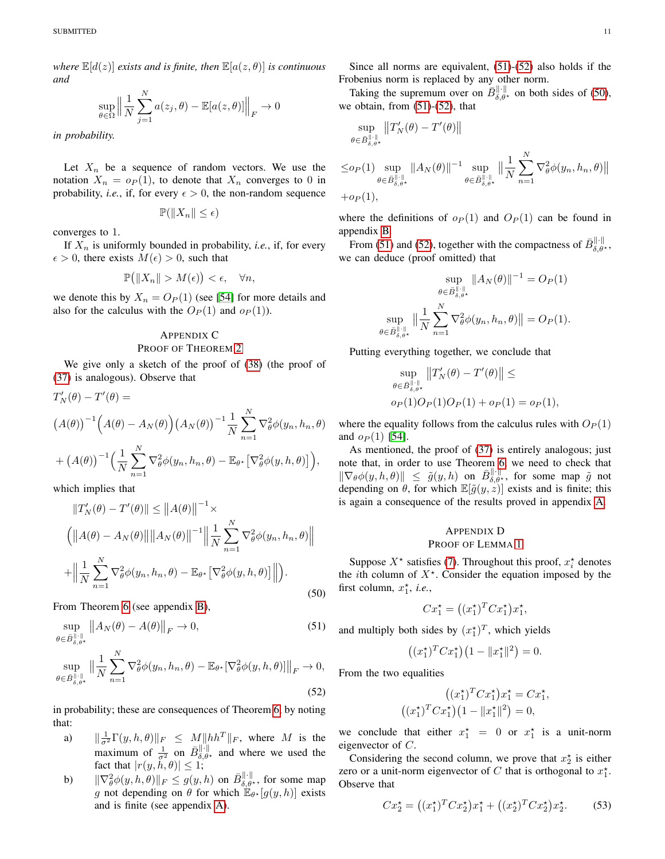*where*  $\mathbb{E}[d(z)]$  *exists and is finite, then*  $\mathbb{E}[a(z, \theta)]$  *is continuous and*

$$
\sup_{\theta \in \Omega} \left\| \frac{1}{N} \sum_{j=1}^{N} a(z_j, \theta) - \mathbb{E}[a(z, \theta)] \right\|_F \to 0
$$

*in probability.*

Let  $X_n$  be a sequence of random vectors. We use the notation  $X_n = o_P(1)$ , to denote that  $X_n$  converges to 0 in probability, *i.e.*, if, for every  $\epsilon > 0$ , the non-random sequence

$$
\mathbb{P}(\|X_n\| \le \epsilon)
$$

converges to 1.

If  $X_n$  is uniformly bounded in probability, *i.e.*, if, for every  $\epsilon > 0$ , there exists  $M(\epsilon) > 0$ , such that

$$
\mathbb{P}\big(\|X_n\| > M(\epsilon)\big) < \epsilon, \quad \forall n,
$$

we denote this by  $X_n = O_P(1)$  (see [\[54\]](#page-12-19) for more details and also for the calculus with the  $O_P(1)$  and  $o_P(1)$ ).

# <span id="page-10-1"></span>APPENDIX C

#### PROOF OF THEOREM [2](#page-6-3)

We give only a sketch of the proof of [\(38\)](#page-6-4) (the proof of [\(37\)](#page-6-5) is analogous). Observe that

$$
T'_{N}(\theta) - T'(\theta) =
$$
  

$$
(A(\theta))^{-1} (A(\theta) - A_{N}(\theta)) (A_{N}(\theta))^{-1} \frac{1}{N} \sum_{n=1}^{N} \nabla_{\theta}^{2} \phi(y_{n}, h_{n}, \theta)
$$

$$
+ (A(\theta))^{-1} \Big(\frac{1}{N} \sum_{n=1}^{N} \nabla_{\theta}^{2} \phi(y_{n}, h_{n}, \theta) - \mathbb{E}_{\theta^{*}} [\nabla_{\theta}^{2} \phi(y, h, \theta)]\Big),
$$

which implies that

<span id="page-10-4"></span>
$$
||T'_{N}(\theta) - T'(\theta)|| \le ||A(\theta)||^{-1} \times
$$
  
\n
$$
(||A(\theta) - A_{N}(\theta)|| ||A_{N}(\theta)||^{-1} || \frac{1}{N} \sum_{n=1}^{N} \nabla_{\theta}^{2} \phi(y_{n}, h_{n}, \theta)||
$$
  
\n
$$
+ || \frac{1}{N} \sum_{n=1}^{N} \nabla_{\theta}^{2} \phi(y_{n}, h_{n}, \theta) - \mathbb{E}_{\theta^{*}} [\nabla_{\theta}^{2} \phi(y, h, \theta)] ||).
$$
\n(50)

From Theorem [6](#page-9-6) (see appendix [B\)](#page-9-7),

$$
\sup_{\theta \in \bar{B}_{\delta,\theta^{\star}}^{\|\cdot\|}} \|A_N(\theta) - A(\theta)\|_F \to 0,
$$
\n
$$
\sup_{\theta \in \bar{B}_{\delta,\theta^{\star}}^{\|\cdot\|}} \left\| \frac{1}{N} \sum_{n=1}^N \nabla_\theta^2 \phi(y_n, h_n, \theta) - \mathbb{E}_{\theta^{\star}} [\nabla_\theta^2 \phi(y, h, \theta)] \right\|_F \to 0,
$$
\n(52)

in probability; these are consequences of Theorem [6,](#page-9-6) by noting that:

- a)  $\|\frac{1}{\sigma^2} \Gamma(y, h, \theta)\|_F \leq M \|hh^T\|_F$ , where M is the maximum of  $\frac{1}{\sigma^2}$  on  $\overline{B}_{\delta,\theta^*}^{\|\cdot\|}$  and where we used the fact that  $|r(y, h, \theta)| \leq 1$ ;
- b)  $\|\nabla_{\theta}^2 \phi(y, h, \theta)\|_F \leq g(y, h)$  on  $\bar{B}_{\delta, \theta^*}^{\|\cdot\|}$ , for some map g not depending on  $\theta$  for which  $\mathbb{E}_{\theta^*}[g(y,h)]$  exists and is finite (see appendix [A\)](#page-9-0).

Since all norms are equivalent, [\(51\)](#page-10-2)-[\(52\)](#page-10-3) also holds if the Frobenius norm is replaced by any other norm.

Taking the supremum over on  $\bar{B}_{\delta,\theta^{\star}}^{\|\cdot\|}$  on both sides of [\(50\)](#page-10-4), we obtain, from [\(51\)](#page-10-2)-[\(52\)](#page-10-3), that

$$
\sup_{\theta\in \bar{B}^{\|\cdot\|}_{\delta,\theta\star}}\left\|T_N'(\theta)-T'(\theta)\right\|
$$

$$
\leq o_P(1) \sup_{\theta \in \bar{B}_{\delta,\theta^*}^{\|\cdot\|}} \|A_N(\theta)\|^{-1} \sup_{\theta \in \bar{B}_{\delta,\theta^*}^{\|\cdot\|}} \Big\| \frac{1}{N} \sum_{n=1}^N \nabla_\theta^2 \phi(y_n, h_n, \theta) \Big\|
$$

N

 $+o_P(1),$ 

where the definitions of  $o_P(1)$  and  $O_P(1)$  can be found in appendix [B.](#page-9-7)

From [\(51\)](#page-10-2) and [\(52\)](#page-10-3), together with the compactness of  $\bar{B}_{\delta,\theta^*}^{\|\cdot\|}$ , we can deduce (proof omitted) that

$$
\sup_{\theta \in \bar{B}_{\delta,\theta^{\star}}^{\|\cdot\|}} \|A_N(\theta)\|^{-1} = O_P(1)
$$
  

$$
\sup_{\theta \in \bar{B}_{\delta,\theta^{\star}}^{\|\cdot\|}} \left\|\frac{1}{N} \sum_{n=1}^N \nabla_{\theta}^2 \phi(y_n, h_n, \theta)\right\| = O_P(1).
$$

Putting everything together, we conclude that

$$
\sup_{\theta \in B_{\delta,\theta^{\star}}^{\|\cdot\|}} \|T_N(\theta) - T'(\theta)\| \le
$$
  

$$
o_P(1)O_P(1)O_P(1) + o_P(1) = o_P(1),
$$

where the equality follows from the calculus rules with  $O_P(1)$ and  $o_P(1)$  [\[54\]](#page-12-19).

As mentioned, the proof of [\(37\)](#page-6-5) is entirely analogous; just note that, in order to use Theorem [6,](#page-9-6) we need to check that  $\|\nabla_\theta \phi(y, h, \theta)\| \leq \tilde{g}(y, h)$  on  $\bar{B}_{\delta, \theta^*}^{\|\cdot\|}$ , for some map  $\tilde{g}$  not depending on  $\theta$ , for which  $\mathbb{E}[\tilde{g}(y, z)]$  exists and is finite; this is again a consequence of the results proved in appendix [A.](#page-9-0)

## <span id="page-10-0"></span>APPENDIX D PROOF OF LEMMA [1](#page-3-8)

Suppose  $X^*$  satisfies [\(7\)](#page-3-9). Throughout this proof,  $x_i^*$  denotes the *i*th column of  $X^*$ . Consider the equation imposed by the first column,  $x_1^*$ , *i.e.*,

$$
Cx_1^* = ((x_1^*)^T C x_1^*) x_1^*,
$$

<span id="page-10-2"></span>and multiply both sides by  $(x_1^*)^T$ , which yields

$$
((x_1^{\star})^T C x_1^{\star})(1 - \|x_1^{\star}\|^2) = 0.
$$

<span id="page-10-3"></span>From the two equalities

$$
((x_1^*)^T C x_1^*) x_1^* = C x_1^*,
$$

$$
((x_1^*)^T C x_1^*) (1 - ||x_1^*||^2) = 0,
$$

we conclude that either  $x_1^* = 0$  or  $x_1^*$  is a unit-norm eigenvector of C.

Considering the second column, we prove that  $x_2^*$  is either zero or a unit-norm eigenvector of C that is orthogonal to  $x_1^*$ . Observe that

<span id="page-10-5"></span>
$$
Cx_2^* = ((x_1^*)^T C x_2^*) x_1^* + ((x_2^*)^T C x_2^*) x_2^*.
$$
 (53)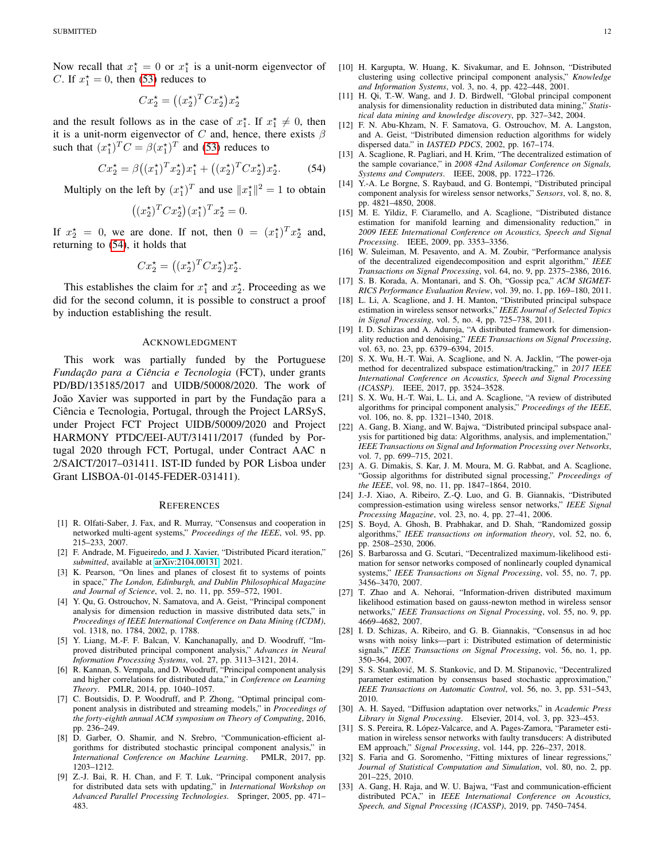Now recall that  $x_1^* = 0$  or  $x_1^*$  is a unit-norm eigenvector of C. If  $x_1^* = 0$ , then [\(53\)](#page-10-5) reduces to

$$
Cx_2^* = ((x_2^*)^T C x_2^*) x_2^*
$$

and the result follows as in the case of  $x_1^*$ . If  $x_1^* \neq 0$ , then it is a unit-norm eigenvector of C and, hence, there exists  $\beta$ such that  $(x_1^*)^T C = \beta(x_1^*)^T$  and [\(53\)](#page-10-5) reduces to

$$
Cx_2^* = \beta ((x_1^*)^T x_2^*) x_1^* + ((x_2^*)^T C x_2^*) x_2^*.
$$
 (54)

Multiply on the left by  $(x_1^{\star})^T$  and use  $||x_1^{\star}||^2 = 1$  to obtain

$$
((x_2^{\star})^T C x_2^{\star})(x_1^{\star})^T x_2^{\star} = 0.
$$

If  $x_2^* = 0$ , we are done. If not, then  $0 = (x_1^*)^T x_2^*$  and, returning to [\(54\)](#page-11-33), it holds that

$$
Cx_2^* = ((x_2^*)^T C x_2^*) x_2^*.
$$

This establishes the claim for  $x_1^*$  and  $x_2^*$ . Proceeding as we did for the second column, it is possible to construct a proof by induction establishing the result.

#### ACKNOWLEDGMENT

This work was partially funded by the Portuguese *Fundac¸ao para a Ci ˜ encia e Tecnologia ˆ* (FCT), under grants PD/BD/135185/2017 and UIDB/50008/2020. The work of João Xavier was supported in part by the Fundação para a Ciência e Tecnologia, Portugal, through the Project LARSyS, under Project FCT Project UIDB/50009/2020 and Project HARMONY PTDC/EEI-AUT/31411/2017 (funded by Portugal 2020 through FCT, Portugal, under Contract AAC n 2/SAICT/2017–031411. IST-ID funded by POR Lisboa under Grant LISBOA-01-0145-FEDER-031411).

#### **REFERENCES**

- <span id="page-11-0"></span>[1] R. Olfati-Saber, J. Fax, and R. Murray, "Consensus and cooperation in networked multi-agent systems," *Proceedings of the IEEE*, vol. 95, pp. 215–233, 2007.
- <span id="page-11-1"></span>[2] F. Andrade, M. Figueiredo, and J. Xavier, "Distributed Picard iteration," *submitted*, available at [arXiv:2104.00131,](http://arxiv.org/abs/2104.00131) 2021.
- <span id="page-11-2"></span>[3] K. Pearson, "On lines and planes of closest fit to systems of points in space," *The London, Edinburgh, and Dublin Philosophical Magazine and Journal of Science*, vol. 2, no. 11, pp. 559–572, 1901.
- <span id="page-11-3"></span>[4] Y. Qu, G. Ostrouchov, N. Samatova, and A. Geist, "Principal component analysis for dimension reduction in massive distributed data sets," in *Proceedings of IEEE International Conference on Data Mining (ICDM)*, vol. 1318, no. 1784, 2002, p. 1788.
- <span id="page-11-4"></span>[5] Y. Liang, M.-F. F. Balcan, V. Kanchanapally, and D. Woodruff, "Improved distributed principal component analysis," *Advances in Neural Information Processing Systems*, vol. 27, pp. 3113–3121, 2014.
- <span id="page-11-5"></span>[6] R. Kannan, S. Vempala, and D. Woodruff, "Principal component analysis and higher correlations for distributed data," in *Conference on Learning Theory*. PMLR, 2014, pp. 1040–1057.
- <span id="page-11-6"></span>[7] C. Boutsidis, D. P. Woodruff, and P. Zhong, "Optimal principal component analysis in distributed and streaming models," in *Proceedings of the forty-eighth annual ACM symposium on Theory of Computing*, 2016, pp. 236–249.
- <span id="page-11-7"></span>[8] D. Garber, O. Shamir, and N. Srebro, "Communication-efficient algorithms for distributed stochastic principal component analysis," in *International Conference on Machine Learning*. PMLR, 2017, pp. 1203–1212.
- <span id="page-11-8"></span>[9] Z.-J. Bai, R. H. Chan, and F. T. Luk, "Principal component analysis for distributed data sets with updating," in *International Workshop on Advanced Parallel Processing Technologies*. Springer, 2005, pp. 471– 483.
- <span id="page-11-9"></span>[10] H. Kargupta, W. Huang, K. Sivakumar, and E. Johnson, "Distributed clustering using collective principal component analysis," *Knowledge and Information Systems*, vol. 3, no. 4, pp. 422–448, 2001.
- <span id="page-11-10"></span>[11] H. Qi, T.-W. Wang, and J. D. Birdwell, "Global principal component analysis for dimensionality reduction in distributed data mining," *Statistical data mining and knowledge discovery*, pp. 327–342, 2004.
- <span id="page-11-11"></span>[12] F. N. Abu-Khzam, N. F. Samatova, G. Ostrouchov, M. A. Langston, and A. Geist, "Distributed dimension reduction algorithms for widely dispersed data." in *IASTED PDCS*, 2002, pp. 167–174.
- <span id="page-11-33"></span><span id="page-11-12"></span>[13] A. Scaglione, R. Pagliari, and H. Krim, "The decentralized estimation of the sample covariance," in *2008 42nd Asilomar Conference on Signals, Systems and Computers*. IEEE, 2008, pp. 1722–1726.
- <span id="page-11-13"></span>[14] Y.-A. Le Borgne, S. Raybaud, and G. Bontempi, "Distributed principal component analysis for wireless sensor networks," *Sensors*, vol. 8, no. 8, pp. 4821–4850, 2008.
- <span id="page-11-14"></span>[15] M. E. Yildiz, F. Ciaramello, and A. Scaglione, "Distributed distance estimation for manifold learning and dimensionality reduction," in *2009 IEEE International Conference on Acoustics, Speech and Signal Processing*. IEEE, 2009, pp. 3353–3356.
- <span id="page-11-15"></span>[16] W. Suleiman, M. Pesavento, and A. M. Zoubir, "Performance analysis of the decentralized eigendecomposition and esprit algorithm," *IEEE Transactions on Signal Processing*, vol. 64, no. 9, pp. 2375–2386, 2016.
- <span id="page-11-16"></span>[17] S. B. Korada, A. Montanari, and S. Oh, "Gossip pca," *ACM SIGMET-RICS Performance Evaluation Review*, vol. 39, no. 1, pp. 169–180, 2011.
- <span id="page-11-17"></span>[18] L. Li, A. Scaglione, and J. H. Manton, "Distributed principal subspace estimation in wireless sensor networks," *IEEE Journal of Selected Topics in Signal Processing*, vol. 5, no. 4, pp. 725–738, 2011.
- <span id="page-11-18"></span>[19] I. D. Schizas and A. Aduroja, "A distributed framework for dimensionality reduction and denoising," *IEEE Transactions on Signal Processing*, vol. 63, no. 23, pp. 6379–6394, 2015.
- <span id="page-11-19"></span>[20] S. X. Wu, H.-T. Wai, A. Scaglione, and N. A. Jacklin, "The power-oja method for decentralized subspace estimation/tracking," in *2017 IEEE International Conference on Acoustics, Speech and Signal Processing (ICASSP)*. IEEE, 2017, pp. 3524–3528.
- <span id="page-11-20"></span>[21] S. X. Wu, H.-T. Wai, L. Li, and A. Scaglione, "A review of distributed algorithms for principal component analysis," *Proceedings of the IEEE*, vol. 106, no. 8, pp. 1321–1340, 2018.
- <span id="page-11-21"></span>[22] A. Gang, B. Xiang, and W. Bajwa, "Distributed principal subspace analysis for partitioned big data: Algorithms, analysis, and implementation," *IEEE Transactions on Signal and Information Processing over Networks*, vol. 7, pp. 699–715, 2021.
- <span id="page-11-22"></span>[23] A. G. Dimakis, S. Kar, J. M. Moura, M. G. Rabbat, and A. Scaglione, "Gossip algorithms for distributed signal processing," *Proceedings of the IEEE*, vol. 98, no. 11, pp. 1847–1864, 2010.
- <span id="page-11-23"></span>[24] J.-J. Xiao, A. Ribeiro, Z.-Q. Luo, and G. B. Giannakis, "Distributed compression-estimation using wireless sensor networks," *IEEE Signal Processing Magazine*, vol. 23, no. 4, pp. 27–41, 2006.
- <span id="page-11-24"></span>[25] S. Boyd, A. Ghosh, B. Prabhakar, and D. Shah, "Randomized gossip algorithms," *IEEE transactions on information theory*, vol. 52, no. 6, pp. 2508–2530, 2006.
- <span id="page-11-25"></span>[26] S. Barbarossa and G. Scutari, "Decentralized maximum-likelihood estimation for sensor networks composed of nonlinearly coupled dynamical systems," *IEEE Transactions on Signal Processing*, vol. 55, no. 7, pp. 3456–3470, 2007.
- <span id="page-11-26"></span>[27] T. Zhao and A. Nehorai, "Information-driven distributed maximum likelihood estimation based on gauss-newton method in wireless sensor networks," *IEEE Transactions on Signal Processing*, vol. 55, no. 9, pp. 4669–4682, 2007.
- <span id="page-11-27"></span>[28] I. D. Schizas, A. Ribeiro, and G. B. Giannakis, "Consensus in ad hoc wsns with noisy links—part i: Distributed estimation of deterministic signals," *IEEE Transactions on Signal Processing*, vol. 56, no. 1, pp. 350–364, 2007.
- <span id="page-11-28"></span>[29] S. S. Stanković, M. S. Stankovic, and D. M. Stipanovic, "Decentralized parameter estimation by consensus based stochastic approximation," *IEEE Transactions on Automatic Control*, vol. 56, no. 3, pp. 531–543, 2010.
- <span id="page-11-29"></span>[30] A. H. Sayed, "Diffusion adaptation over networks," in *Academic Press Library in Signal Processing*. Elsevier, 2014, vol. 3, pp. 323–453.
- <span id="page-11-30"></span>[31] S. S. Pereira, R. López-Valcarce, and A. Pages-Zamora, "Parameter estimation in wireless sensor networks with faulty transducers: A distributed EM approach," *Signal Processing*, vol. 144, pp. 226–237, 2018.
- <span id="page-11-31"></span>[32] S. Faria and G. Soromenho, "Fitting mixtures of linear regressions," *Journal of Statistical Computation and Simulation*, vol. 80, no. 2, pp. 201–225, 2010.
- <span id="page-11-32"></span>[33] A. Gang, H. Raja, and W. U. Bajwa, "Fast and communication-efficient distributed PCA," in *IEEE International Conference on Acoustics, Speech, and Signal Processing (ICASSP)*, 2019, pp. 7450–7454.